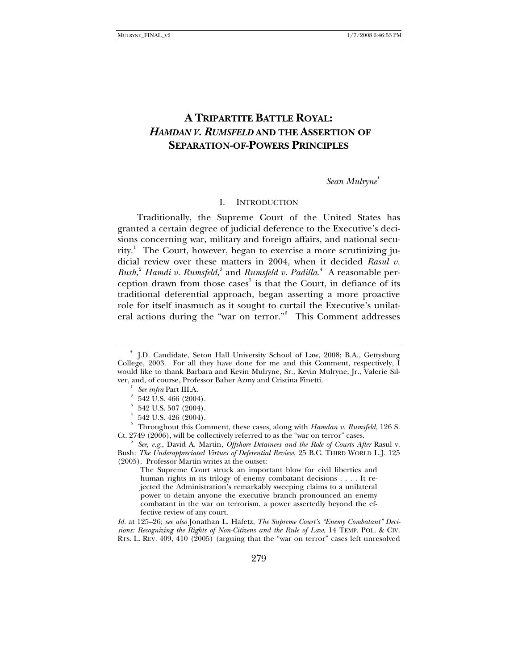# **A TRIPARTITE BATTLE ROYAL:**  *HAMDAN V. RUMSFELD* **AND THE ASSERTION OF SEPARATION-OF-POWERS PRINCIPLES**

### *Sean Mulryne*[∗](#page-0-0)

#### I. INTRODUCTION

Traditionally, the Supreme Court of the United States has granted a certain degree of judicial deference to the Executive's decisions concerning war, military and foreign affairs, and national security.[1](#page-0-1) The Court, however, began to exercise a more scrutinizing judicial review over these matters in 2004, when it decided *Rasul v.*  Bush,<sup>[2](#page-0-2)</sup> Hamdi v. Rumsfeld,<sup>[3](#page-0-3)</sup> and *Rumsfeld v. Padilla*.<sup>[4](#page-0-4)</sup> A reasonable per-ception drawn from those cases<sup>[5](#page-0-5)</sup> is that the Court, in defiance of its traditional deferential approach, began asserting a more proactive role for itself inasmuch as it sought to curtail the Executive's unilateral actions during the "war on terror."[6](#page-0-6) This Comment addresses

The Supreme Court struck an important blow for civil liberties and human rights in its trilogy of enemy combatant decisions . . . . It rejected the Administration's remarkably sweeping claims to a unilateral power to detain anyone the executive branch pronounced an enemy combatant in the war on terrorism, a power assertedly beyond the effective review of any court.

*Id.* at 125–26; *see also* Jonathan L. Hafetz, *The Supreme Court's "Enemy Combatant" Decisions: Recognizing the Rights of Non-Citizens and the Rule of Law*, 14 TEMP. POL. & CIV. RTS. L. REV. 409, 410 (2005) (arguing that the "war on terror" cases left unresolved

<span id="page-0-1"></span><span id="page-0-0"></span><sup>∗</sup> J.D. Candidate, Seton Hall University School of Law, 2008; B.A., Gettysburg College, 2003. For all they have done for me and this Comment, respectively, I would like to thank Barbara and Kevin Mulryne, Sr., Kevin Mulryne, Jr., Valerie Silver, and, of course, Professor Baher Azmy and Cristina Finetti. 1

*See infra* Part III.A. 2

 <sup>542</sup> U.S. 466 (2004).

<sup>3</sup> 542 U.S. 507 (2004).

<sup>4</sup> 542 U.S. 426 (2004).

<span id="page-0-5"></span><span id="page-0-4"></span><span id="page-0-3"></span><span id="page-0-2"></span><sup>5</sup> Throughout this Comment, these cases, along with *Hamdan v. Rumsfeld*, 126 S. Ct. 2749 (2006), will be collectively referred to as the "war on terror" cases.

<span id="page-0-6"></span>*See, e.g.*, David A. Martin, *Offshore Detainees and the Role of Courts After* Rasul v. Bush*: The Underappreciated Virtues of Deferential Review*, 25 B.C. THIRD WORLD L.J. 125 (2005). Professor Martin writes at the outset: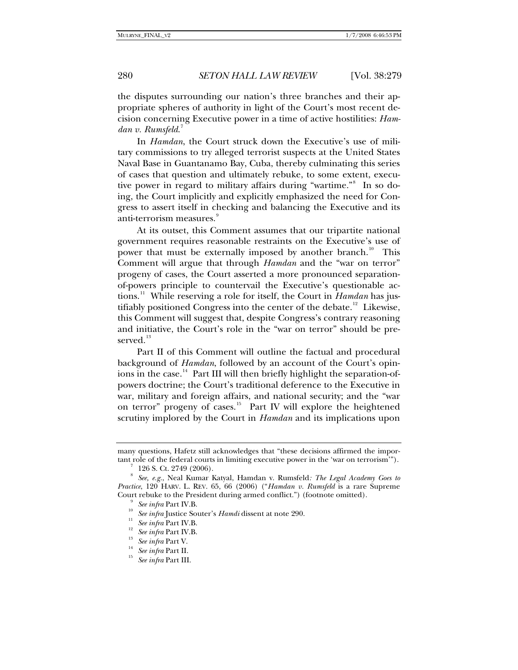the disputes surrounding our nation's three branches and their appropriate spheres of authority in light of the Court's most recent decision concerning Executive power in a time of active hostilities: *Hamdan v. Rumsfeld*. [7](#page-1-0)

In *Hamdan*, the Court struck down the Executive's use of military commissions to try alleged terrorist suspects at the United States Naval Base in Guantanamo Bay, Cuba, thereby culminating this series of cases that question and ultimately rebuke, to some extent, execu-tive power in regard to military affairs during "wartime."<sup>[8](#page-1-1)</sup> In so doing, the Court implicitly and explicitly emphasized the need for Congress to assert itself in checking and balancing the Executive and its anti-terrorism measures.<sup>[9](#page-1-2)</sup>

At its outset, this Comment assumes that our tripartite national government requires reasonable restraints on the Executive's use of power that must be externally imposed by another branch.<sup>[10](#page-1-3)</sup> This Comment will argue that through *Hamdan* and the "war on terror" progeny of cases, the Court asserted a more pronounced separationof-powers principle to countervail the Executive's questionable actions.[11](#page-1-4) While reserving a role for itself, the Court in *Hamdan* has jus-tifiably positioned Congress into the center of the debate.<sup>[12](#page-1-5)</sup> Likewise, this Comment will suggest that, despite Congress's contrary reasoning and initiative, the Court's role in the "war on terror" should be pre-served.<sup>[13](#page-1-6)</sup>

Part II of this Comment will outline the factual and procedural background of *Hamdan*, followed by an account of the Court's opin-ions in the case.<sup>[14](#page-1-7)</sup> Part III will then briefly highlight the separation-ofpowers doctrine; the Court's traditional deference to the Executive in war, military and foreign affairs, and national security; and the "war on terror" progeny of cases.<sup>[15](#page-1-8)</sup> Part IV will explore the heightened scrutiny implored by the Court in *Hamdan* and its implications upon

<span id="page-1-8"></span><span id="page-1-7"></span><span id="page-1-6"></span><span id="page-1-5"></span>

many questions, Hafetz still acknowledges that "these decisions affirmed the important role of the federal courts in limiting executive power in the 'war on terrorism'").

 <sup>126</sup> S. Ct. 2749 (2006).

<span id="page-1-4"></span><span id="page-1-3"></span><span id="page-1-2"></span><span id="page-1-1"></span><span id="page-1-0"></span><sup>8</sup>  *See, e.g.*, Neal Kumar Katyal, Hamdan v. Rumsfeld*: The Legal Academy Goes to Practice*, 120 HARV. L. REV. 65, 66 (2006) ("*Hamdan v. Rumsfeld* is a rare Supreme Court rebuke to the President during armed conflict.") (footnote omitted).<br><sup>9</sup> See infra Part IV.B.

<sup>&</sup>lt;sup>10</sup> See infra Justice Souter's *Hamdi* dissent at note 290.<br>
<sup>11</sup> See infra Part IV.B.<br>
<sup>12</sup> See infra Part IV.B.<br>
<sup>13</sup> See infra Part V.B.<br>
<sup>14</sup> See infra Part II.<br>
<sup>14</sup> See infra Part II.<br>
<sup>15</sup> See infra Part III.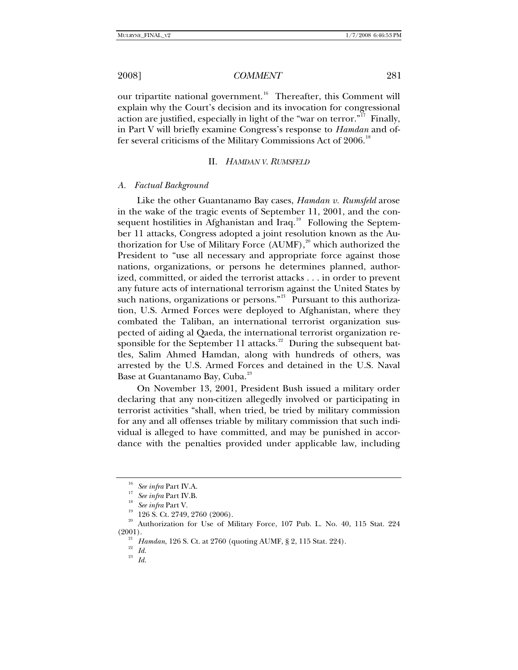our tripartite national government.<sup>[16](#page-2-0)</sup> Thereafter, this Comment will explain why the Court's decision and its invocation for congressional action are justified, especially in light of the "war on terror."<sup>[17](#page-2-1)</sup> Finally, in Part V will briefly examine Congress's response to *Hamdan* and of-fer several criticisms of the Military Commissions Act of 2006.<sup>[18](#page-2-2)</sup>

#### II. *HAMDAN V. RUMSFELD*

#### *A. Factual Background*

Like the other Guantanamo Bay cases, *Hamdan v. Rumsfeld* arose in the wake of the tragic events of September 11, 2001, and the con-sequent hostilities in Afghanistan and Iraq.<sup>[19](#page-2-3)</sup> Following the September 11 attacks, Congress adopted a joint resolution known as the Authorization for Use of Military Force  $(AUMF)$ ,<sup>[20](#page-2-4)</sup> which authorized the President to "use all necessary and appropriate force against those nations, organizations, or persons he determines planned, authorized, committed, or aided the terrorist attacks . . . in order to prevent any future acts of international terrorism against the United States by such nations, organizations or persons."<sup>[21](#page-2-5)</sup> Pursuant to this authorization, U.S. Armed Forces were deployed to Afghanistan, where they combated the Taliban, an international terrorist organization suspected of aiding al Qaeda, the international terrorist organization re-sponsible for the September 11 attacks.<sup>[22](#page-2-6)</sup> During the subsequent battles, Salim Ahmed Hamdan, along with hundreds of others, was arrested by the U.S. Armed Forces and detained in the U.S. Naval Base at Guantanamo Bay, Cuba.<sup>[23](#page-2-7)</sup>

On November 13, 2001, President Bush issued a military order declaring that any non-citizen allegedly involved or participating in terrorist activities "shall, when tried, be tried by military commission for any and all offenses triable by military commission that such individual is alleged to have committed, and may be punished in accordance with the penalties provided under applicable law, including

<sup>16</sup> *See infra* Part IV.A. 17 *See infra* Part IV.B. 18 *See infra* Part V. 19 126 S. Ct. 2749, 2760 (2006).

<span id="page-2-7"></span><span id="page-2-6"></span><span id="page-2-5"></span><span id="page-2-4"></span><span id="page-2-3"></span><span id="page-2-2"></span><span id="page-2-1"></span><span id="page-2-0"></span>Authorization for Use of Military Force, 107 Pub. L. No. 40, 115 Stat. 224 (2001). 21 *Hamdan*, 126 S. Ct. at 2760 (quoting AUMF, § 2, 115 Stat. 224). 22 *Id.*

<sup>23</sup> *Id.*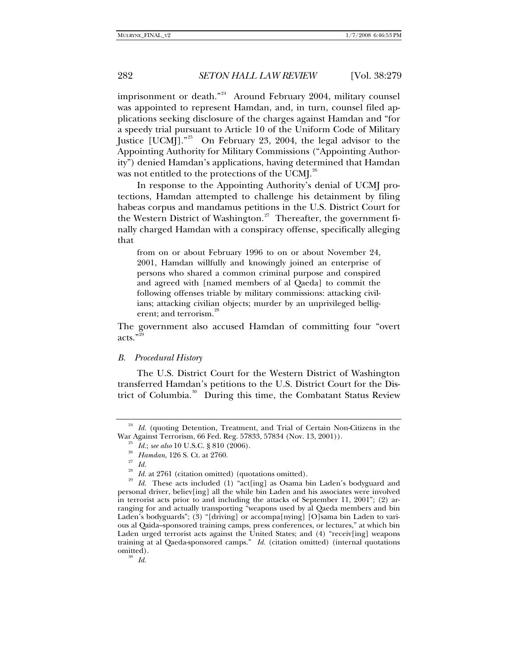imprisonment or death."<sup>[24](#page-3-0)</sup> Around February 2004, military counsel was appointed to represent Hamdan, and, in turn, counsel filed applications seeking disclosure of the charges against Hamdan and "for a speedy trial pursuant to Article 10 of the Uniform Code of Military Justice [UCMJ]."[25](#page-3-1) On February 23, 2004, the legal advisor to the Appointing Authority for Military Commissions ("Appointing Authority") denied Hamdan's applications, having determined that Hamdan was not entitled to the protections of the UCMJ. $^{26}$  $^{26}$  $^{26}$ 

In response to the Appointing Authority's denial of UCMJ protections, Hamdan attempted to challenge his detainment by filing habeas corpus and mandamus petitions in the U.S. District Court for the Western District of Washington.<sup>[27](#page-3-3)</sup> Thereafter, the government finally charged Hamdan with a conspiracy offense, specifically alleging that

from on or about February 1996 to on or about November 24, 2001, Hamdan willfully and knowingly joined an enterprise of persons who shared a common criminal purpose and conspired and agreed with [named members of al Qaeda] to commit the following offenses triable by military commissions: attacking civilians; attacking civilian objects; murder by an unprivileged belligerent; and terrorism.<sup>26</sup>

The government also accused Hamdan of committing four "overt acts."

#### *B. Procedural History*

The U.S. District Court for the Western District of Washington transferred Hamdan's petitions to the U.S. District Court for the Dis-trict of Columbia.<sup>[30](#page-3-6)</sup> During this time, the Combatant Status Review

<span id="page-3-6"></span>

<span id="page-3-1"></span><span id="page-3-0"></span><sup>&</sup>lt;sup>24</sup> Id. (quoting Detention, Treatment, and Trial of Certain Non-Citizens in the War Against Terrorism, 66 Fed. Reg. 57833, 57834 (Nov. 13, 2001)).<br><sup>25</sup> *Id.*; *see also* 10 U.S.C. § 810 (2006).<br><sup>26</sup> *Hamdan*, 126 S. Ct. at 2760.<br><sup>27</sup> *Id.* 10 2761 (2006).

<span id="page-3-5"></span><span id="page-3-4"></span><span id="page-3-3"></span><span id="page-3-2"></span><sup>&</sup>lt;sup>28</sup> *Id.* at 2761 (citation omitted) (quotations omitted).<br><sup>29</sup> *Id.* These acts included (1) "act[ing] as Osama bin Laden's bodyguard and personal driver, believ[ing] all the while bin Laden and his associates were involved in terrorist acts prior to and including the attacks of September 11, 2001"; (2) arranging for and actually transporting "weapons used by al Qaeda members and bin Laden's bodyguards"; (3) "[driving] or accompa[nying] [O]sama bin Laden to various al Qaida–sponsored training camps, press conferences, or lectures," at which bin Laden urged terrorist acts against the United States; and (4) "receiv[ing] weapons training at al Qaeda-sponsored camps." *Id.* (citation omitted) (internal quotations  $\frac{\text{omitted}}{\text{30}}$ .<br>*Id.*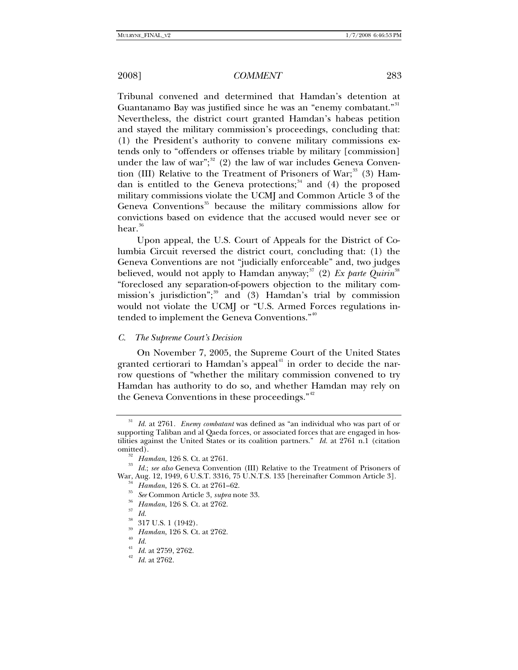Tribunal convened and determined that Hamdan's detention at Guantanamo Bay was justified since he was an "enemy combatant."<sup>[31](#page-4-0)</sup> Nevertheless, the district court granted Hamdan's habeas petition and stayed the military commission's proceedings, concluding that: (1) the President's authority to convene military commissions extends only to "offenders or offenses triable by military [commission] under the law of war"; $32$  (2) the law of war includes Geneva Conven-tion (III) Relative to the Treatment of Prisoners of War;<sup>[33](#page-4-2)</sup> (3) Ham-dan is entitled to the Geneva protections;<sup>[34](#page-4-3)</sup> and (4) the proposed military commissions violate the UCMJ and Common Article 3 of the Geneva Conventions<sup>[35](#page-4-4)</sup> because the military commissions allow for convictions based on evidence that the accused would never see or hear. $36$ 

Upon appeal, the U.S. Court of Appeals for the District of Columbia Circuit reversed the district court, concluding that: (1) the Geneva Conventions are not "judicially enforceable" and, two judges believed, would not apply to Hamdan anyway;<sup>[37](#page-4-6)</sup> (2) *Ex parte Quirin*<sup>[38](#page-4-7)</sup> "foreclosed any separation-of-powers objection to the military com-mission's jurisdiction";<sup>[39](#page-4-8)</sup> and (3) Hamdan's trial by commission would not violate the UCMJ or "U.S. Armed Forces regulations in-tended to implement the Geneva Conventions."<sup>[40](#page-4-9)</sup>

#### *C. The Supreme Court's Decision*

On November 7, 2005, the Supreme Court of the United States granted certiorari to Hamdan's appeal $41$  in order to decide the narrow questions of "whether the military commission convened to try Hamdan has authority to do so, and whether Hamdan may rely on the Geneva Conventions in these proceedings."<sup>[42](#page-4-11)</sup>

<span id="page-4-7"></span><span id="page-4-6"></span>

<span id="page-4-0"></span><sup>31</sup> *Id.* at 2761*. Enemy combatant* was defined as "an individual who was part of or supporting Taliban and al Qaeda forces, or associated forces that are engaged in hostilities against the United States or its coalition partners." *Id.* at 2761 n.1 (citation

<span id="page-4-5"></span><span id="page-4-4"></span><span id="page-4-3"></span><span id="page-4-2"></span><span id="page-4-1"></span><sup>&</sup>lt;sup>32</sup> Hamdan, 126 S. Ct. at 2761.<br><sup>33</sup> Id.; *see also* Geneva Convention (III) Relative to the Treatment of Prisoners of War, Aug. 12, 1949, 6 U.S.T. 3316, 75 U.N.T.S. 135 [hereinafter Common Article 3].<br><sup>34</sup> Hamdan, 126 S. Ct. at 2761–62.<br><sup>35</sup> See Common Article 3, *supra* note 33.<br><sup>35</sup> Hamdan, 126 S. Ct. at 2762.<br><sup>37</sup> Id.

<span id="page-4-8"></span> $\frac{38}{39}$  317 U.S. 1 (1942).

<sup>39</sup> *Hamdan*, 126 S. Ct. at 2762. 40 *Id.*

<span id="page-4-10"></span><span id="page-4-9"></span>

<span id="page-4-11"></span><sup>41</sup> *Id.* at 2759, 2762. 42 *Id.* at 2762.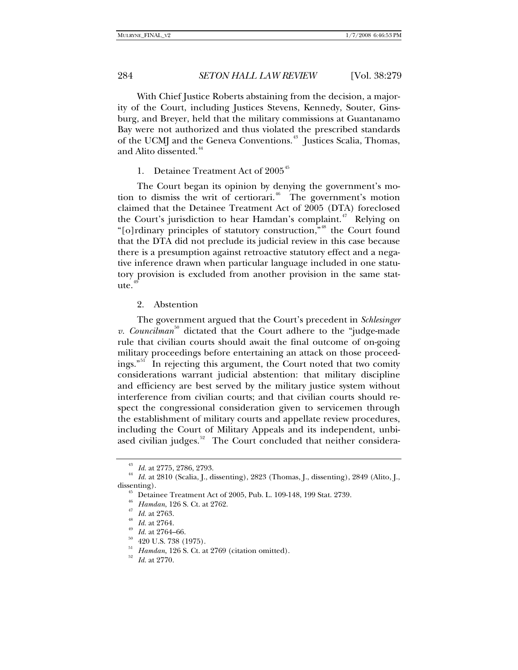With Chief Justice Roberts abstaining from the decision, a majority of the Court, including Justices Stevens, Kennedy, Souter, Ginsburg, and Breyer, held that the military commissions at Guantanamo Bay were not authorized and thus violated the prescribed standards of the UCMJ and the Geneva Conventions.<sup>[43](#page-5-0)</sup> Justices Scalia, Thomas, and Alito dissented.<sup>[44](#page-5-1)</sup>

1. Detainee Treatment Act of 2005<sup>[45](#page-5-2)</sup>

The Court began its opinion by denying the government's mo-tion to dismiss the writ of certiorari.<sup>[46](#page-5-3)</sup> The government's motion claimed that the Detainee Treatment Act of 2005 (DTA) foreclosed the Court's jurisdiction to hear Hamdan's complaint.<sup>[47](#page-5-4)</sup> Relying on "[o]rdinary principles of statutory construction,"<sup>[48](#page-5-5)</sup> the Court found that the DTA did not preclude its judicial review in this case because there is a presumption against retroactive statutory effect and a negative inference drawn when particular language included in one statutory provision is excluded from another provision in the same stat $ute.<sup>4</sup>$ 

#### 2. Abstention

The government argued that the Court's precedent in *Schlesinger*   $v.$  *Councilman*<sup>[50](#page-5-7)</sup> dictated that the Court adhere to the "judge-made" rule that civilian courts should await the final outcome of on-going military proceedings before entertaining an attack on those proceedings."[51](#page-5-8) In rejecting this argument, the Court noted that two comity considerations warrant judicial abstention: that military discipline and efficiency are best served by the military justice system without interference from civilian courts; and that civilian courts should respect the congressional consideration given to servicemen through the establishment of military courts and appellate review procedures, including the Court of Military Appeals and its independent, unbi-ased civilian judges.<sup>[52](#page-5-9)</sup> The Court concluded that neither considera-

<span id="page-5-4"></span><span id="page-5-3"></span><span id="page-5-2"></span><span id="page-5-1"></span><span id="page-5-0"></span><sup>43</sup> *Id.* at 2775, 2786, 2793. 44 *Id.* at 2810 (Scalia, J., dissenting), 2823 (Thomas, J., dissenting), 2849 (Alito, J., dissenting). 45 Detainee Treatment Act of 2005, Pub. L. 109-148, 199 Stat. 2739.

<sup>46</sup> *Hamdan*, 126 S. Ct. at 2762. 47 *Id.* at 2763. 48 *Id.* at 2764. 49 *Id.* at 2764–66. 50 420 U.S. 738 (1975).

<span id="page-5-5"></span>

<span id="page-5-9"></span><span id="page-5-8"></span><span id="page-5-7"></span><span id="page-5-6"></span><sup>51</sup> *Hamdan*, 126 S. Ct. at 2769 (citation omitted). 52 *Id.* at 2770.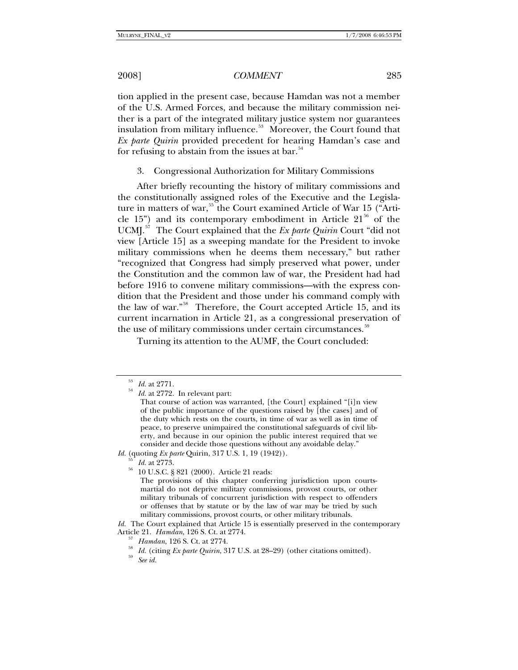tion applied in the present case, because Hamdan was not a member of the U.S. Armed Forces, and because the military commission neither is a part of the integrated military justice system nor guarantees insulation from military influence.<sup>[53](#page-6-0)</sup> Moreover, the Court found that *Ex parte Quirin* provided precedent for hearing Hamdan's case and for refusing to abstain from the issues at bar. $54$ 

3. Congressional Authorization for Military Commissions

After briefly recounting the history of military commissions and the constitutionally assigned roles of the Executive and the Legisla-ture in matters of war,<sup>[55](#page-6-2)</sup> the Court examined Article of War 15 ("Article 15") and its contemporary embodiment in Article  $21^{56}$  $21^{56}$  $21^{56}$  of the UCMJ.[57](#page-6-4) The Court explained that the *Ex parte Quirin* Court "did not view [Article 15] as a sweeping mandate for the President to invoke military commissions when he deems them necessary," but rather "recognized that Congress had simply preserved what power, under the Constitution and the common law of war, the President had had before 1916 to convene military commissions—with the express condition that the President and those under his command comply with the law of war."[58](#page-6-5) Therefore, the Court accepted Article 15, and its current incarnation in Article 21, as a congressional preservation of the use of military commissions under certain circumstances.<sup>[59](#page-6-6)</sup>

Turning its attention to the AUMF, the Court concluded:

<span id="page-6-3"></span><span id="page-6-2"></span>*Id.* (quoting *Ex parte* Quirin, 317 U.S. 1, 19 (1942)).<br><sup>55</sup> *Id.* at 2773.<br><sup>56</sup> 10 U.S.C. § 821 (2000). Article 21 reads:

<span id="page-6-1"></span><span id="page-6-0"></span> $\frac{53}{54}$   $Id.$  at 2771. In relevant part:

That course of action was warranted, [the Court] explained "[i]n view of the public importance of the questions raised by [the cases] and of the duty which rests on the courts, in time of war as well as in time of peace, to preserve unimpaired the constitutional safeguards of civil liberty, and because in our opinion the public interest required that we consider and decide those questions without any avoidable delay."

The provisions of this chapter conferring jurisdiction upon courtsmartial do not deprive military commissions, provost courts, or other military tribunals of concurrent jurisdiction with respect to offenders or offenses that by statute or by the law of war may be tried by such military commissions, provost courts, or other military tribunals.

<span id="page-6-6"></span><span id="page-6-5"></span><span id="page-6-4"></span>*Id.* The Court explained that Article 15 is essentially preserved in the contemporary Article 21. *Hamdan*, 126 S. Ct. at 2774.<br><sup>57</sup> *Hamdan*, 126 S. Ct. at 2774.<br><sup>58</sup> *Id.* (citing *Ex parte Quirin*, 317 U.S. at 28–29) (other citations omitted).<br><sup>59</sup> *See id.*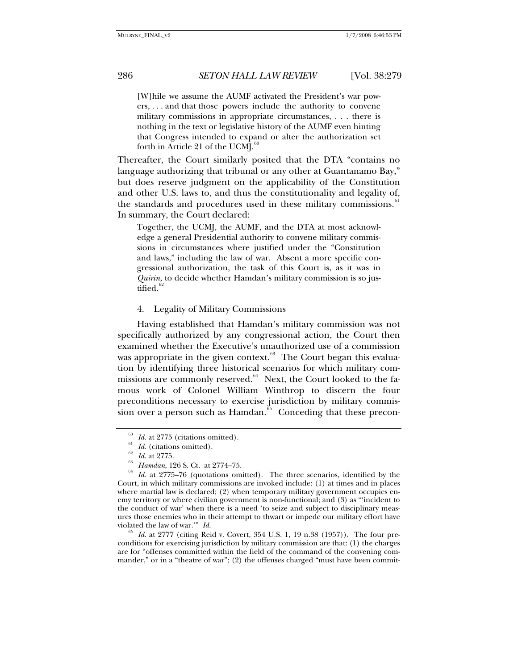[W]hile we assume the AUMF activated the President's war powers, . . . and that those powers include the authority to convene military commissions in appropriate circumstances, . . . there is nothing in the text or legislative history of the AUMF even hinting that Congress intended to expand or alter the authorization set forth in Article 21 of the UCM $I^{\circ}$ 

Thereafter, the Court similarly posited that the DTA "contains no language authorizing that tribunal or any other at Guantanamo Bay," but does reserve judgment on the applicability of the Constitution and other U.S. laws to, and thus the constitutionality and legality of, the standards and procedures used in these military commissions.<sup>[61](#page-7-1)</sup> In summary, the Court declared:

Together, the UCMJ, the AUMF, and the DTA at most acknowledge a general Presidential authority to convene military commissions in circumstances where justified under the "Constitution and laws," including the law of war. Absent a more specific congressional authorization, the task of this Court is, as it was in *Quirin*, to decide whether Hamdan's military commission is so justified. $62$ 

#### 4. Legality of Military Commissions

Having established that Hamdan's military commission was not specifically authorized by any congressional action, the Court then examined whether the Executive's unauthorized use of a commission was appropriate in the given context.<sup>[63](#page-7-3)</sup> The Court began this evaluation by identifying three historical scenarios for which military com-missions are commonly reserved.<sup>[64](#page-7-4)</sup> Next, the Court looked to the famous work of Colonel William Winthrop to discern the four preconditions necessary to exercise jurisdiction by military commission over a person such as Hamdan. $65$  Conceding that these precon-

<span id="page-7-4"></span><span id="page-7-3"></span><span id="page-7-2"></span><span id="page-7-1"></span><span id="page-7-0"></span><sup>&</sup>lt;sup>60</sup> *Id.* at 2775 (citations omitted).<br><sup>61</sup> *Id.* (citations omitted).<br><sup>62</sup> *Id.* at 2775.<br><sup>63</sup> *Hamdan*, 126 S. Ct. at 2774–75.<br><sup>64</sup> *Id.* at 2775–76 (quotations omitted). The three scenarios, identified by the Court, in which military commissions are invoked include: (1) at times and in places where martial law is declared; (2) when temporary military government occupies enemy territory or where civilian government is non-functional; and (3) as "'incident to the conduct of war' when there is a need 'to seize and subject to disciplinary measures those enemies who in their attempt to thwart or impede our military effort have violated the law of war."  $Id$ .

<span id="page-7-5"></span>Id. at 2777 (citing Reid v. Covert, 354 U.S. 1, 19 n.38 (1957)). The four preconditions for exercising jurisdiction by military commission are that: (1) the charges are for "offenses committed within the field of the command of the convening commander," or in a "theatre of war"; (2) the offenses charged "must have been commit-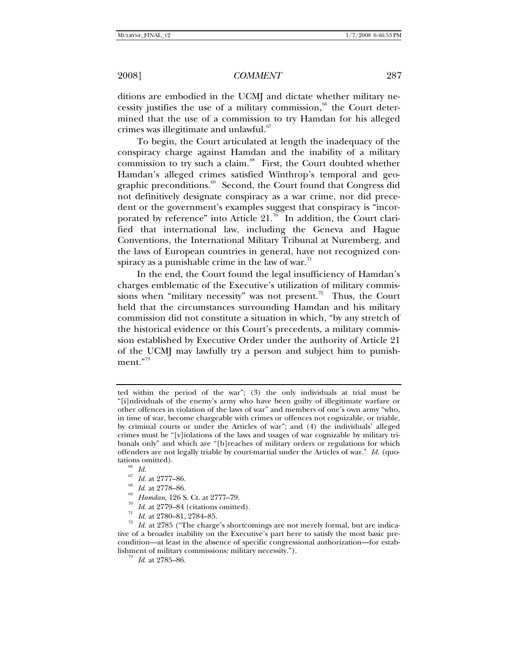ditions are embodied in the UCMJ and dictate whether military necessity justifies the use of a military commission, $66$  the Court determined that the use of a commission to try Hamdan for his alleged crimes was illegitimate and unlawful.<sup>6</sup>

To begin, the Court articulated at length the inadequacy of the conspiracy charge against Hamdan and the inability of a military commission to try such a claim. $68$  First, the Court doubted whether Hamdan's alleged crimes satisfied Winthrop's temporal and geo-graphic preconditions.<sup>[69](#page-8-3)</sup> Second, the Court found that Congress did not definitively designate conspiracy as a war crime, nor did precedent or the government's examples suggest that conspiracy is "incorporated by reference" into Article 21. $\pi$ <sup>T</sup> In addition, the Court clarified that international law, including the Geneva and Hague Conventions, the International Military Tribunal at Nuremberg, and the laws of European countries in general, have not recognized conspiracy as a punishable crime in the law of war. $1$ <sup>1</sup>

In the end, the Court found the legal insufficiency of Hamdan's charges emblematic of the Executive's utilization of military commis-sions when "military necessity" was not present.<sup>[72](#page-8-6)</sup> Thus, the Court held that the circumstances surrounding Hamdan and his military commission did not constitute a situation in which, "by any stretch of the historical evidence or this Court's precedents, a military commission established by Executive Order under the authority of Article 21 of the UCMJ may lawfully try a person and subject him to punishment."[73](#page-8-7)

- 
- <span id="page-8-7"></span>

ted within the period of the war"; (3) the only individuals at trial must be "[i]ndividuals of the enemy's army who have been guilty of illegitimate warfare or other offences in violation of the laws of war" and members of one's own army "who, in time of war, become chargeable with crimes or offences not cognizable, or triable, by criminal courts or under the Articles of war"; and (4) the individuals' alleged crimes must be "[v]iolations of the laws and usages of war cognizable by military tribunals only" and which are "[b]reaches of military orders or regulations for which offenders are not legally triable by court-martial under the Articles of war." *Id.* (quotations omitted).<br>  $\frac{66}{67}$  *Id.*<br>  $\frac{67}{67}$  *Id.*  $\frac{1277}{6777}$ 

<span id="page-8-6"></span><span id="page-8-5"></span><span id="page-8-4"></span><span id="page-8-3"></span><span id="page-8-2"></span><span id="page-8-1"></span><span id="page-8-0"></span><sup>&</sup>lt;sup>67</sup> Id. at 2777–86.<br>
<sup>68</sup> Id. at 2778–86.<br>
<sup>69</sup> Hamdan, 126 S. Ct. at 2777–79.<br>
<sup>70</sup> Id. at 2779–84 (citations omitted).<br>
<sup>71</sup> Id. at 2780–81, 2784–85.<br>
<sup>72</sup> Id. at 2785 ("The charge's shortcomings are not merely formal, tive of a broader inability on the Executive's part here to satisfy the most basic precondition—at least in the absence of specific congressional authorization—for establishment of military commissions: military necessity."). 73 *Id.* at 2785–86.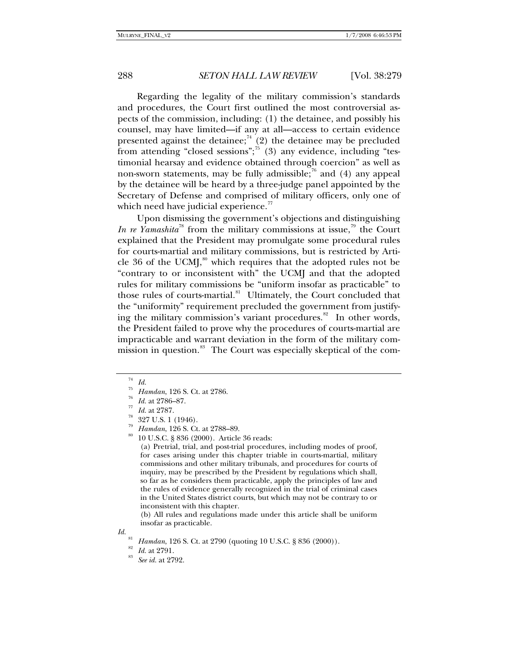Regarding the legality of the military commission's standards and procedures, the Court first outlined the most controversial aspects of the commission, including: (1) the detainee, and possibly his counsel, may have limited—if any at all—access to certain evidence presented against the detainee;<sup>[74](#page-9-0)</sup> (2) the detainee may be precluded from attending "closed sessions"; $\overline{5}$  (3) any evidence, including "testimonial hearsay and evidence obtained through coercion" as well as non-sworn statements, may be fully admissible;<sup>[76](#page-9-2)</sup> and (4) any appeal by the detainee will be heard by a three-judge panel appointed by the Secretary of Defense and comprised of military officers, only one of which need have judicial experience. $\frac{7}{7}$ 

Upon dismissing the government's objections and distinguishing *In re Yamashita*<sup>[78](#page-9-4)</sup> from the military commissions at issue,<sup>[79](#page-9-5)</sup> the Court explained that the President may promulgate some procedural rules for courts-martial and military commissions, but is restricted by Article 36 of the UCMJ, $\frac{80}{30}$  $\frac{80}{30}$  $\frac{80}{30}$  which requires that the adopted rules not be "contrary to or inconsistent with" the UCMJ and that the adopted rules for military commissions be "uniform insofar as practicable" to those rules of courts-martial.<sup>[81](#page-9-7)</sup> Ultimately, the Court concluded that the "uniformity" requirement precluded the government from justifying the military commission's variant procedures. $82$  In other words, the President failed to prove why the procedures of courts-martial are impracticable and warrant deviation in the form of the military com-mission in question.<sup>[83](#page-9-9)</sup> The Court was especially skeptical of the com-

(a) Pretrial, trial, and post-trial procedures, including modes of proof, for cases arising under this chapter triable in courts-martial, military commissions and other military tribunals, and procedures for courts of inquiry, may be prescribed by the President by regulations which shall, so far as he considers them practicable, apply the principles of law and the rules of evidence generally recognized in the trial of criminal cases in the United States district courts, but which may not be contrary to or inconsistent with this chapter.

(b) All rules and regulations made under this article shall be uniform insofar as practicable.

<span id="page-9-0"></span><sup>74</sup> *Id.*

<span id="page-9-1"></span><sup>75</sup> *Hamdan*, 126 S. Ct. at 2786. 76 *Id.* at 2786–87. 77 *Id.* at 2787. 78 327 U.S. 1 (1946).

<span id="page-9-5"></span><span id="page-9-4"></span><span id="page-9-3"></span><span id="page-9-2"></span>

<span id="page-9-6"></span>

*Hamdan*, 126 S. Ct. at 2788–89.<br>10 U.S.C. § 836 (2000). Article 36 reads:

<span id="page-9-9"></span><span id="page-9-8"></span><span id="page-9-7"></span>*Id.* <sup>81</sup> Hamdan, 126 S. Ct. at 2790 (quoting 10 U.S.C. § 836 (2000)). <sup>82</sup> *Id.* at 2791. *See id.* at 2792.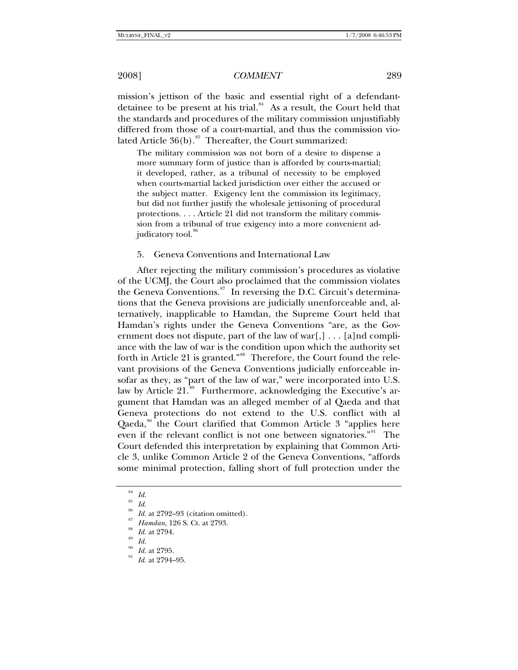mission's jettison of the basic and essential right of a defendantdetainee to be present at his trial. $84$  As a result, the Court held that the standards and procedures of the military commission unjustifiably differed from those of a court-martial, and thus the commission violated Article  $36(b)$ .<sup>[85](#page-10-1)</sup> Thereafter, the Court summarized:

The military commission was not born of a desire to dispense a more summary form of justice than is afforded by courts-martial; it developed, rather, as a tribunal of necessity to be employed when courts-martial lacked jurisdiction over either the accused or the subject matter. Exigency lent the commission its legitimacy, but did not further justify the wholesale jettisoning of procedural protections. . . . Article 21 did not transform the military commission from a tribunal of true exigency into a more convenient adjudicatory tool.<sup>80</sup>

#### 5. Geneva Conventions and International Law

After rejecting the military commission's procedures as violative of the UCMJ, the Court also proclaimed that the commission violates the Geneva Conventions. $s^7$  In reversing the D.C. Circuit's determinations that the Geneva provisions are judicially unenforceable and, alternatively, inapplicable to Hamdan, the Supreme Court held that Hamdan's rights under the Geneva Conventions "are, as the Government does not dispute, part of the law of war[,]  $\ldots$  [a]nd compliance with the law of war is the condition upon which the authority set forth in Article 21 is granted."<sup>[88](#page-10-4)</sup> Therefore, the Court found the relevant provisions of the Geneva Conventions judicially enforceable insofar as they, as "part of the law of war," were incorporated into U.S. law by Article 21.<sup>[89](#page-10-5)</sup> Furthermore, acknowledging the Executive's argument that Hamdan was an alleged member of al Qaeda and that Geneva protections do not extend to the U.S. conflict with al Qaeda,<sup>[90](#page-10-6)</sup> the Court clarified that Common Article 3 "applies here even if the relevant conflict is not one between signatories."[91](#page-10-7) The Court defended this interpretation by explaining that Common Article 3, unlike Common Article 2 of the Geneva Conventions, "affords some minimal protection, falling short of full protection under the

<span id="page-10-1"></span> $rac{85}{86}$  *Id.* 

<span id="page-10-0"></span> $rac{84}{85}$  *Id.* 

<span id="page-10-3"></span><span id="page-10-2"></span><sup>86</sup> *Id.* at 2792–93 (citation omitted). 87 *Hamdan*, 126 S. Ct. at 2793. 88 *Id.* at 2794. 89 *Id.*

<span id="page-10-5"></span><span id="page-10-4"></span>

<span id="page-10-7"></span><span id="page-10-6"></span>

<sup>&</sup>lt;sup>90</sup> *Id.* at 2795.<br><sup>91</sup> *Id.* at 2794–95.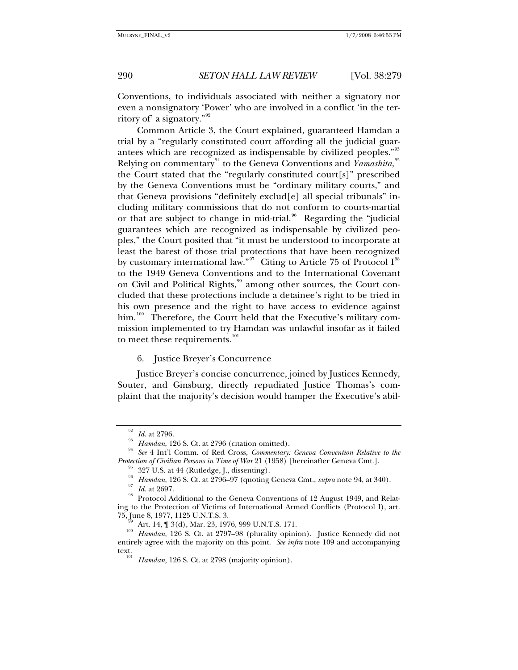Conventions, to individuals associated with neither a signatory nor even a nonsignatory 'Power' who are involved in a conflict 'in the territory of' a signatory."[92](#page-11-0)

Common Article 3, the Court explained, guaranteed Hamdan a trial by a "regularly constituted court affording all the judicial guar-antees which are recognized as indispensable by civilized peoples."<sup>[93](#page-11-1)</sup> Relying on commentary<sup>[94](#page-11-2)</sup> to the Geneva Conventions and *Yamashita*,<sup>[95](#page-11-3)</sup> the Court stated that the "regularly constituted court[s]" prescribed by the Geneva Conventions must be "ordinary military courts," and that Geneva provisions "definitely exclud[e] all special tribunals" including military commissions that do not conform to courts-martial or that are subject to change in mid-trial.<sup>[96](#page-11-4)</sup> Regarding the "judicial guarantees which are recognized as indispensable by civilized peoples," the Court posited that "it must be understood to incorporate at least the barest of those trial protections that have been recognized by customary international law."<sup>[97](#page-11-5)</sup> Citing to Article 75 of Protocol  $I^{98}$  $I^{98}$  $I^{98}$ to the 1949 Geneva Conventions and to the International Covenant on Civil and Political Rights,<sup>[99](#page-11-7)</sup> among other sources, the Court concluded that these protections include a detainee's right to be tried in his own presence and the right to have access to evidence against him.<sup>[100](#page-11-8)</sup> Therefore, the Court held that the Executive's military commission implemented to try Hamdan was unlawful insofar as it failed to meet these requirements.<sup>[101](#page-11-9)</sup>

6. Justice Breyer's Concurrence

Justice Breyer's concise concurrence, joined by Justices Kennedy, Souter, and Ginsburg, directly repudiated Justice Thomas's complaint that the majority's decision would hamper the Executive's abil-

<span id="page-11-2"></span><span id="page-11-1"></span><span id="page-11-0"></span><sup>92</sup> *Id.* at 2796. 93 *Hamdan*, 126 S. Ct. at 2796 (citation omitted). 94 *See* 4 Int'l Comm. of Red Cross*, Commentary: Geneva Convention Relative to the Protection of Civilian Persons in Time of War* 21 (1958) [hereinafter Geneva Cmt.]. <sup>95</sup> 327 U.S. at 44 (Rutledge, J., dissenting).

<sup>&</sup>lt;sup>96</sup> Hamdan, 126 S. Ct. at 2796–97 (quoting Geneva Cmt., *supra* note 94, at 340).<br><sup>97</sup> Id. at 2697.<br><sup>98</sup> Protocol Additional to the Geneva Conventions of 12 August 1949, and Relat-

<span id="page-11-6"></span><span id="page-11-5"></span><span id="page-11-4"></span><span id="page-11-3"></span>ing to the Protection of Victims of International Armed Conflicts (Protocol I), art.

<span id="page-11-9"></span><span id="page-11-8"></span><span id="page-11-7"></span><sup>&</sup>lt;sup>355</sup> Art. 14, ¶ 3(d), Mar. 23, 1976, 999 U.N.T.S. 171.<br><sup>100</sup> *Hamdan*, 126 S. Ct. at 2797–98 (plurality opinion). Justice Kennedy did not entirely agree with the majority on this point. *See infra* note 109 and accompanying text. 101 *Hamdan*, 126 S. Ct. at 2798 (majority opinion).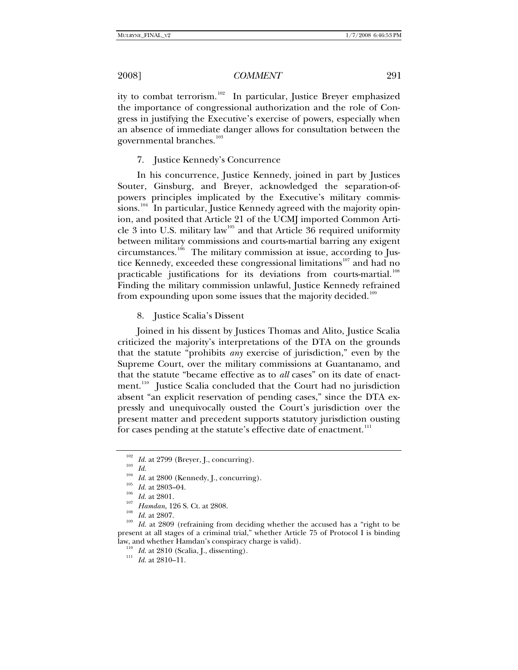ity to combat terrorism.<sup>[102](#page-12-0)</sup> In particular, Justice Breyer emphasized the importance of congressional authorization and the role of Congress in justifying the Executive's exercise of powers, especially when an absence of immediate danger allows for consultation between the governmental branches.<sup>[103](#page-12-1)</sup>

### 7. Justice Kennedy's Concurrence

In his concurrence, Justice Kennedy, joined in part by Justices Souter, Ginsburg, and Breyer, acknowledged the separation-ofpowers principles implicated by the Executive's military commis-sions.<sup>[104](#page-12-2)</sup> In particular, Justice Kennedy agreed with the majority opinion, and posited that Article 21 of the UCMJ imported Common Arti-cle 3 into U.S. military law<sup>[105](#page-12-3)</sup> and that Article 36 required uniformity between military commissions and courts-martial barring any exigent circumstances.<sup>[106](#page-12-4)</sup> The military commission at issue, according to Jus-tice Kennedy, exceeded these congressional limitations<sup>[107](#page-12-5)</sup> and had no practicable justifications for its deviations from courts-martial.<sup>[108](#page-12-6)</sup> Finding the military commission unlawful, Justice Kennedy refrained from expounding upon some issues that the majority decided.<sup>[109](#page-12-7)</sup>

### 8. Justice Scalia's Dissent

Joined in his dissent by Justices Thomas and Alito, Justice Scalia criticized the majority's interpretations of the DTA on the grounds that the statute "prohibits *any* exercise of jurisdiction," even by the Supreme Court, over the military commissions at Guantanamo, and that the statute "became effective as to *all* cases" on its date of enact-ment.<sup>[110](#page-12-8)</sup> Justice Scalia concluded that the Court had no jurisdiction absent "an explicit reservation of pending cases," since the DTA expressly and unequivocally ousted the Court's jurisdiction over the present matter and precedent supports statutory jurisdiction ousting for cases pending at the statute's effective date of enactment. $111$ 

<span id="page-12-7"></span><span id="page-12-6"></span><span id="page-12-5"></span>

<span id="page-12-4"></span><span id="page-12-3"></span><span id="page-12-2"></span><span id="page-12-1"></span><span id="page-12-0"></span><sup>&</sup>lt;sup>102</sup> *Id.* at 2799 (Breyer, J., concurring).<br>
<sup>103</sup> *Id.*<br> *Id.* at 2800 (Kennedy, J., concurring).<br>
<sup>105</sup> *Id.* at 2803–04.<br>
<sup>105</sup> *Id.* at 2801.<br>
<sup>107</sup> *Hamdan*, 126 S. Ct. at 2808.<br>
<sup>108</sup> *Id.* at 2807.<br>
<sup>108</sup> *Id.* a present at all stages of a criminal trial," whether Article 75 of Protocol I is binding law, and whether Hamdan's conspiracy charge is valid). 110 *Id.* at 2810 (Scalia, J., dissenting). 111 *Id.* at 2810–11.

<span id="page-12-9"></span><span id="page-12-8"></span>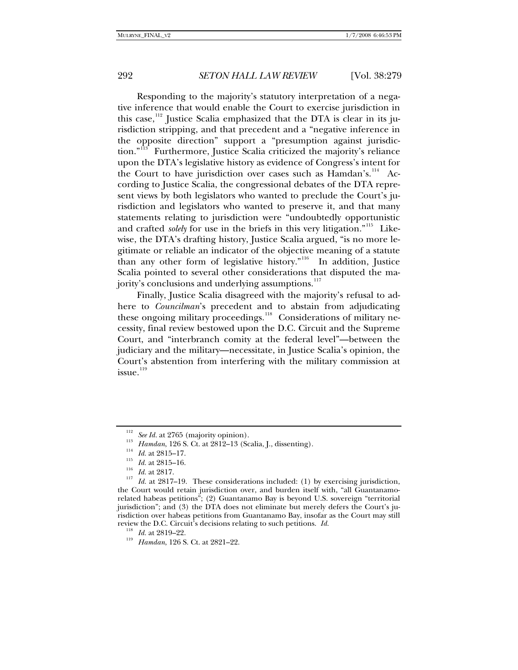Responding to the majority's statutory interpretation of a negative inference that would enable the Court to exercise jurisdiction in this case, $112$  Justice Scalia emphasized that the DTA is clear in its jurisdiction stripping, and that precedent and a "negative inference in the opposite direction" support a "presumption against jurisdiction."[113](#page-13-1) Furthermore, Justice Scalia criticized the majority's reliance upon the DTA's legislative history as evidence of Congress's intent for the Court to have jurisdiction over cases such as Hamdan's.<sup>[114](#page-13-2)</sup> According to Justice Scalia, the congressional debates of the DTA represent views by both legislators who wanted to preclude the Court's jurisdiction and legislators who wanted to preserve it, and that many statements relating to jurisdiction were "undoubtedly opportunistic and crafted *solely* for use in the briefs in this very litigation."<sup>[115](#page-13-3)</sup> Likewise, the DTA's drafting history, Justice Scalia argued, "is no more legitimate or reliable an indicator of the objective meaning of a statute than any other form of legislative history."<sup>[116](#page-13-4)</sup> In addition, Justice Scalia pointed to several other considerations that disputed the ma-jority's conclusions and underlying assumptions.<sup>[117](#page-13-5)</sup>

Finally, Justice Scalia disagreed with the majority's refusal to adhere to *Councilman*'s precedent and to abstain from adjudicating these ongoing military proceedings.<sup>[118](#page-13-6)</sup> Considerations of military necessity, final review bestowed upon the D.C. Circuit and the Supreme Court, and "interbranch comity at the federal level"—between the judiciary and the military—necessitate, in Justice Scalia's opinion, the Court's abstention from interfering with the military commission at issue.<sup>[119](#page-13-7)</sup>

<span id="page-13-5"></span><span id="page-13-4"></span><span id="page-13-3"></span><span id="page-13-2"></span><span id="page-13-1"></span><span id="page-13-0"></span><sup>&</sup>lt;sup>112</sup> See Id. at 2765 (majority opinion).<br>
<sup>113</sup> Hamdan, 126 S. Ct. at 2812–13 (Scalia, J., dissenting).<br>
<sup>114</sup> Id. at 2815–17.<br>
<sup>115</sup> Id. at 2817.<br>
<sup>116</sup> Id. at 2817-19. These considerations included: (1) by exercising j the Court would retain jurisdiction over, and burden itself with, "all Guantanamorelated habeas petitions"; (2) Guantanamo Bay is beyond U.S. sovereign "territorial jurisdiction"; and (3) the DTA does not eliminate but merely defers the Court's jurisdiction over habeas petitions from Guantanamo Bay, insofar as the Court may still review the D.C. Circuit's decisions relating to such petitions. *Id.* <sup>118</sup> *Id.* at 2819–22. <sup>119</sup> *Hamdan*, 126 S. Ct. at 2821–22.

<span id="page-13-7"></span><span id="page-13-6"></span>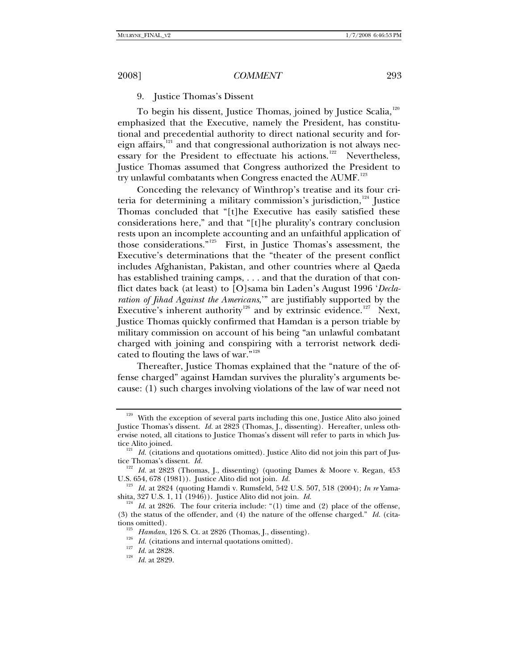# 9. Justice Thomas's Dissent

To begin his dissent, Justice Thomas, joined by Justice Scalia,[120](#page-14-0) emphasized that the Executive, namely the President, has constitutional and precedential authority to direct national security and foreign affairs, $121$  and that congressional authorization is not always nec-essary for the President to effectuate his actions.<sup>[122](#page-14-2)</sup> Nevertheless, Justice Thomas assumed that Congress authorized the President to try unlawful combatants when Congress enacted the AUMF.<sup>[123](#page-14-3)</sup>

Conceding the relevancy of Winthrop's treatise and its four criteria for determining a military commission's jurisdiction, $124$  Justice Thomas concluded that "[t]he Executive has easily satisfied these considerations here," and that "[t]he plurality's contrary conclusion rests upon an incomplete accounting and an unfaithful application of those considerations."[125](#page-14-5) First, in Justice Thomas's assessment, the Executive's determinations that the "theater of the present conflict includes Afghanistan, Pakistan, and other countries where al Qaeda has established training camps, . . . and that the duration of that conflict dates back (at least) to [O]sama bin Laden's August 1996 '*Declaration of Jihad Against the Americans*,'" are justifiably supported by the Executive's inherent authority<sup>[126](#page-14-6)</sup> and by extrinsic evidence.<sup>[127](#page-14-7)</sup> Next, Justice Thomas quickly confirmed that Hamdan is a person triable by military commission on account of his being "an unlawful combatant charged with joining and conspiring with a terrorist network dedicated to flouting the laws of war."[128](#page-14-8)

Thereafter, Justice Thomas explained that the "nature of the offense charged" against Hamdan survives the plurality's arguments because: (1) such charges involving violations of the law of war need not

<span id="page-14-0"></span> $120$  With the exception of several parts including this one, Justice Alito also joined Justice Thomas's dissent. *Id.* at 2823 (Thomas, J., dissenting). Hereafter, unless otherwise noted, all citations to Justice Thomas's dissent will refer to parts in which Jus-

<span id="page-14-1"></span>tice Alito joined.<br><sup>121</sup> *Id.* (citations and quotations omitted). Justice Alito did not join this part of Jus-

tice Thomas's dissent. *Id.* **122** Id. at 2823 (Thomas, J., dissenting) (quoting Dames & Moore v. Regan, 453

<span id="page-14-3"></span><span id="page-14-2"></span>U.S. 654, 678 (1981)). Justice Alito did not join. *Id.* 123<br><sup>123</sup> *Id.* at 2824 (quoting Hamdi v. Rumsfeld, 542 U.S. 507, 518 (2004); *In re* Yama-

<span id="page-14-6"></span><span id="page-14-5"></span><span id="page-14-4"></span>shita, 327 U.S. 1, 11 (1946)). Justice Alito did not join. *Id.*<br><sup>124</sup> *Id.* at 2826. The four criteria include: "(1) time and (2) place of the offense, (3) the status of the offender, and (4) the nature of the offense charged." *Id.* (cita-

tions omitted). Hamdan, 126 S. Ct. at 2826 (Thomas, J., dissenting). Id. (citations and internal quotations omitted). 1<sup>28</sup> Id. at 2829.

<span id="page-14-8"></span><span id="page-14-7"></span>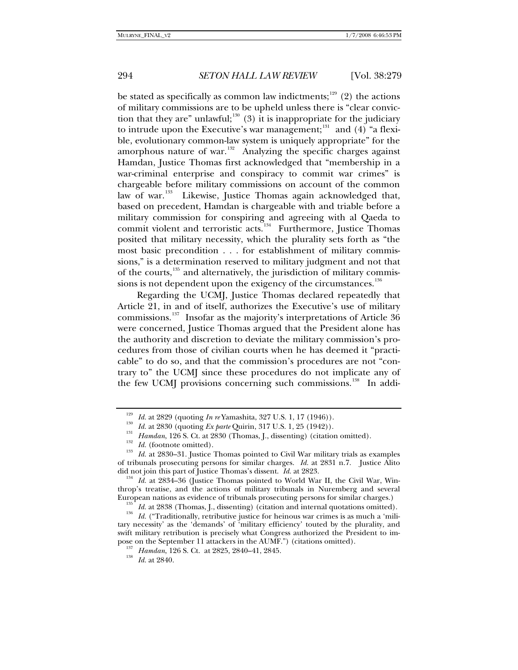be stated as specifically as common law indictments;<sup>[129](#page-15-0)</sup> (2) the actions of military commissions are to be upheld unless there is "clear convic-tion that they are" unlawful;<sup>[130](#page-15-1)</sup> (3) it is inappropriate for the judiciary to intrude upon the Executive's war management; $131$  and (4) "a flexible, evolutionary common-law system is uniquely appropriate" for the amorphous nature of war.<sup>[132](#page-15-3)</sup> Analyzing the specific charges against Hamdan, Justice Thomas first acknowledged that "membership in a war-criminal enterprise and conspiracy to commit war crimes" is chargeable before military commissions on account of the common law of war.<sup>[133](#page-15-4)</sup> Likewise, Justice Thomas again acknowledged that, based on precedent, Hamdan is chargeable with and triable before a military commission for conspiring and agreeing with al Qaeda to commit violent and terroristic acts.<sup>[134](#page-15-5)</sup> Furthermore, Justice Thomas posited that military necessity, which the plurality sets forth as "the most basic precondition . . . for establishment of military commissions," is a determination reserved to military judgment and not that of the courts, $135$  and alternatively, the jurisdiction of military commis-sions is not dependent upon the exigency of the circumstances.<sup>[136](#page-15-7)</sup>

Regarding the UCMJ, Justice Thomas declared repeatedly that Article 21, in and of itself, authorizes the Executive's use of military commissions.<sup>[137](#page-15-8)</sup> Insofar as the majority's interpretations of Article  $36$ were concerned, Justice Thomas argued that the President alone has the authority and discretion to deviate the military commission's procedures from those of civilian courts when he has deemed it "practicable" to do so, and that the commission's procedures are not "contrary to" the UCMJ since these procedures do not implicate any of the few UCMJ provisions concerning such commissions.<sup>[138](#page-15-9)</sup> In addi-

<span id="page-15-3"></span><span id="page-15-2"></span><span id="page-15-1"></span><span id="page-15-0"></span><sup>&</sup>lt;sup>129</sup> *Id.* at 2829 (quoting *In re* Yamashita, 327 U.S. 1, 17 (1946)).<br><sup>130</sup> *Id.* at 2830 (quoting *Ex parte* Quirin, 317 U.S. 1, 25 (1942)).<br><sup>131</sup> *Id.* at 2830 (Thomas, J., dissenting) (citation omitted).<br><sup>132</sup> *Id.* of tribunals prosecuting persons for similar charges. *Id.* at 2831 n.7. Justice Alito did not join this part of Justice Thomas's dissent. *Id.* at 2823.<br><sup>134</sup> *Id.* at 2834–36 (Justice Thomas pointed to World War II, the Civil War, Win-

<span id="page-15-5"></span><span id="page-15-4"></span>throp's treatise, and the actions of military tribunals in Nuremberg and several European nations as evidence of tribunals prosecuting persons for similar charges.)

<span id="page-15-8"></span><span id="page-15-7"></span><span id="page-15-6"></span><sup>&</sup>lt;sup>135</sup> *Id.* at 2838 (Thomas, J., dissenting) (citation and internal quotations omitted).<br><sup>136</sup> *Id.* ("Traditionally, retributive justice for heinous war crimes is as much a 'military necessity' as the 'demands' of 'military efficiency' touted by the plurality, and swift military retribution is precisely what Congress authorized the President to impose on the September 11 attackers in the AUMF.") (citations omitted). 137 *Hamdan*, 126 S. Ct. at 2825, 2840–41, 2845. 138 *Id.* at 2840.

<span id="page-15-9"></span>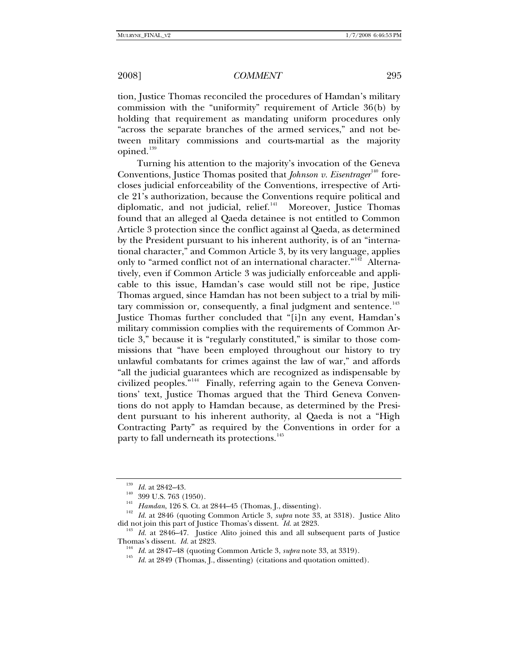tion, Justice Thomas reconciled the procedures of Hamdan's military commission with the "uniformity" requirement of Article 36(b) by holding that requirement as mandating uniform procedures only "across the separate branches of the armed services," and not between military commissions and courts-martial as the majority opined.<sup>[139](#page-16-0)</sup>

Turning his attention to the majority's invocation of the Geneva Conventions, Justice Thomas posited that *Johnson v. Eisentrager*<sup>[140](#page-16-1)</sup> forecloses judicial enforceability of the Conventions, irrespective of Article 21's authorization, because the Conventions require political and diplomatic, and not judicial, relief.<sup>[141](#page-16-2)</sup> Moreover, Justice Thomas found that an alleged al Qaeda detainee is not entitled to Common Article 3 protection since the conflict against al Qaeda, as determined by the President pursuant to his inherent authority, is of an "international character," and Common Article 3, by its very language, applies only to "armed conflict not of an international character."<sup>[142](#page-16-3)</sup> Alternatively, even if Common Article 3 was judicially enforceable and applicable to this issue, Hamdan's case would still not be ripe, Justice Thomas argued, since Hamdan has not been subject to a trial by mili-tary commission or, consequently, a final judgment and sentence.<sup>[143](#page-16-4)</sup> Justice Thomas further concluded that "[i]n any event, Hamdan's military commission complies with the requirements of Common Article 3," because it is "regularly constituted," is similar to those commissions that "have been employed throughout our history to try unlawful combatants for crimes against the law of war," and affords "all the judicial guarantees which are recognized as indispensable by civilized peoples."[144](#page-16-5) Finally, referring again to the Geneva Conventions' text, Justice Thomas argued that the Third Geneva Conventions do not apply to Hamdan because, as determined by the President pursuant to his inherent authority, al Qaeda is not a "High Contracting Party" as required by the Conventions in order for a party to fall underneath its protections.<sup>[145](#page-16-6)</sup>

<span id="page-16-1"></span><span id="page-16-0"></span><sup>&</sup>lt;sup>139</sup> Id. at 2842–43.<br><sup>140</sup> 399 U.S. 763 (1950).<br><sup>141</sup> Hamdan, 126 S. Ct. at 2844–45 (Thomas, J., dissenting).<br><sup>142</sup> Id. at 2846 (quoting Common Article 3, *supra* note 33, at 3318). Justice Alito

<span id="page-16-6"></span><span id="page-16-5"></span><span id="page-16-4"></span><span id="page-16-3"></span><span id="page-16-2"></span>did not join this part of Justice Thomas's dissent. *Id.* at 2823.<br><sup>143</sup> *Id.* at 2846–47. Justice Alito joined this and all subsequent parts of Justice Thomas's dissent. *Id.* at 2823.

<sup>&</sup>lt;sup>144</sup> *Id.* at 2847–48 (quoting Common Article 3, *supra* note 33, at 3319).<br><sup>145</sup> *Id.* at 2849 (Thomas, J., dissenting) (citations and quotation omitted).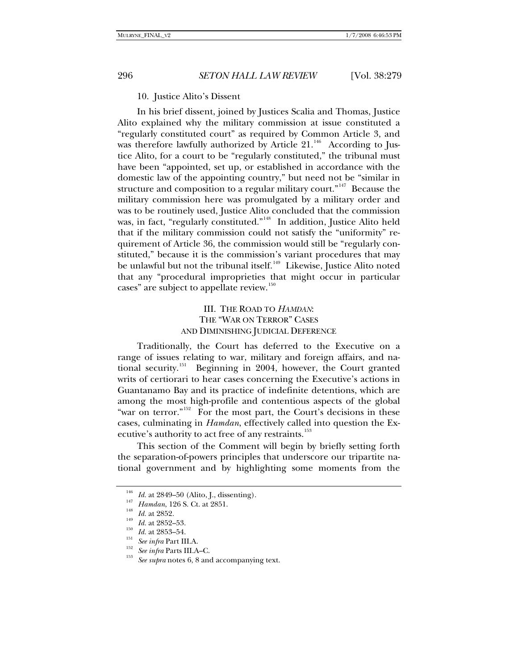# 10. Justice Alito's Dissent

In his brief dissent, joined by Justices Scalia and Thomas, Justice Alito explained why the military commission at issue constituted a "regularly constituted court" as required by Common Article 3, and was therefore lawfully authorized by Article  $21.^{146}$  $21.^{146}$  $21.^{146}$  According to Justice Alito, for a court to be "regularly constituted," the tribunal must have been "appointed, set up, or established in accordance with the domestic law of the appointing country," but need not be "similar in structure and composition to a regular military court."<sup>[147](#page-17-1)</sup> Because the military commission here was promulgated by a military order and was to be routinely used, Justice Alito concluded that the commission was, in fact, "regularly constituted."<sup>[148](#page-17-2)</sup> In addition, Justice Alito held that if the military commission could not satisfy the "uniformity" requirement of Article 36, the commission would still be "regularly constituted," because it is the commission's variant procedures that may be unlawful but not the tribunal itself.<sup>[149](#page-17-3)</sup> Likewise, Justice Alito noted that any "procedural improprieties that might occur in particular cases" are subject to appellate review.<sup>[150](#page-17-4)</sup>

# III. THE ROAD TO *HAMDAN*: THE "WAR ON TERROR" CASES AND DIMINISHING JUDICIAL DEFERENCE

Traditionally, the Court has deferred to the Executive on a range of issues relating to war, military and foreign affairs, and na-tional security.<sup>[151](#page-17-5)</sup> Beginning in 2004, however, the Court granted writs of certiorari to hear cases concerning the Executive's actions in Guantanamo Bay and its practice of indefinite detentions, which are among the most high-profile and contentious aspects of the global "war on terror."<sup>[152](#page-17-6)</sup> For the most part, the Court's decisions in these cases, culminating in *Hamdan*, effectively called into question the Ex-ecutive's authority to act free of any restraints.<sup>[153](#page-17-7)</sup>

This section of the Comment will begin by briefly setting forth the separation-of-powers principles that underscore our tripartite national government and by highlighting some moments from the

<span id="page-17-2"></span><span id="page-17-1"></span>

<span id="page-17-3"></span>

<span id="page-17-4"></span>

<span id="page-17-7"></span><span id="page-17-6"></span><span id="page-17-5"></span>

<span id="page-17-0"></span><sup>&</sup>lt;sup>146</sup> *Id.* at 2849–50 (Alito, J., dissenting).<br>
<sup>147</sup> *Hamdan*, 126 S. Ct. at 2851.<br> *Id.* at 2852.<br> *Id.* at 2852–53.<br> *Id.* at 2853–54.<br> *See infra* Part III.A.<br> *See infra* Parts III.A–C.<br>
<sup>153</sup> *See supra* notes 6, 8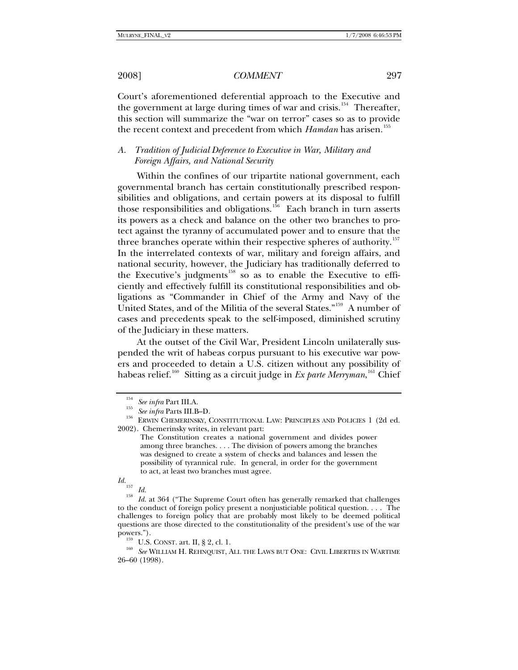Court's aforementioned deferential approach to the Executive and the government at large during times of war and crisis.<sup>[154](#page-18-0)</sup> Thereafter, this section will summarize the "war on terror" cases so as to provide the recent context and precedent from which *Hamdan* has arisen.<sup>[155](#page-18-1)</sup>

# *A. Tradition of Judicial Deference to Executive in War, Military and Foreign Affairs, and National Security*

Within the confines of our tripartite national government, each governmental branch has certain constitutionally prescribed responsibilities and obligations, and certain powers at its disposal to fulfill those responsibilities and obligations.<sup>[156](#page-18-2)</sup> Each branch in turn asserts its powers as a check and balance on the other two branches to protect against the tyranny of accumulated power and to ensure that the three branches operate within their respective spheres of authority.<sup>[157](#page-18-3)</sup> In the interrelated contexts of war, military and foreign affairs, and national security, however, the Judiciary has traditionally deferred to the Executive's judgments<sup>[158](#page-18-4)</sup> so as to enable the Executive to efficiently and effectively fulfill its constitutional responsibilities and obligations as "Commander in Chief of the Army and Navy of the United States, and of the Militia of the several States."[159](#page-18-5) A number of cases and precedents speak to the self-imposed, diminished scrutiny of the Judiciary in these matters.

At the outset of the Civil War, President Lincoln unilaterally suspended the writ of habeas corpus pursuant to his executive war powers and proceeded to detain a U.S. citizen without any possibility of habeas relief.[160](#page-18-6) Sitting as a circuit judge in *Ex parte Merryman*, [161](#page-18-7) Chief

<span id="page-18-2"></span><span id="page-18-1"></span><span id="page-18-0"></span><sup>&</sup>lt;sup>154</sup> See infra Part III.A.<br><sup>155</sup> See infra Parts III.B–D.<br><sup>156</sup> ERWIN CHEMERINSKY, CONSTITUTIONAL LAW: PRINCIPLES AND POLICIES 1 (2d ed. 2002). Chemerinsky writes, in relevant part:

The Constitution creates a national government and divides power among three branches. . . . The division of powers among the branches was designed to create a system of checks and balances and lessen the possibility of tyrannical rule. In general, in order for the government to act, at least two branches must agree.

<span id="page-18-7"></span><span id="page-18-4"></span><span id="page-18-3"></span>*Id.*<sup>157</sup> *Id.* <sup>158</sup> *Id.* at 364 ("The Supreme Court often has generally remarked that challenges to the conduct of foreign policy present a nonjusticiable political question. . . . The challenges to foreign policy that are probably most likely to be deemed political questions are those directed to the constitutionality of the president's use of the war

<span id="page-18-6"></span><span id="page-18-5"></span>powers."). 159 U.S. CONST. art. II, § 2, cl. 1. 160 *See* WILLIAM H. REHNQUIST, ALL THE LAWS BUT ONE: CIVIL LIBERTIES IN WARTIME 26–60 (1998).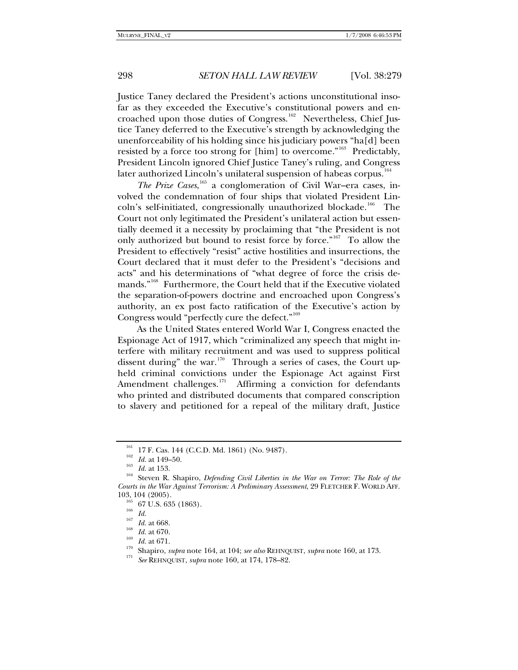Justice Taney declared the President's actions unconstitutional insofar as they exceeded the Executive's constitutional powers and en-croached upon those duties of Congress.<sup>[162](#page-19-0)</sup> Nevertheless, Chief Justice Taney deferred to the Executive's strength by acknowledging the unenforceability of his holding since his judiciary powers "ha[d] been resisted by a force too strong for [him] to overcome."[163](#page-19-1) Predictably, President Lincoln ignored Chief Justice Taney's ruling, and Congress later authorized Lincoln's unilateral suspension of habeas corpus.<sup>[164](#page-19-2)</sup>

The Prize Cases, <sup>[165](#page-19-3)</sup> a conglomeration of Civil War–era cases, involved the condemnation of four ships that violated President Lin-coln's self-initiated, congressionally unauthorized blockade.<sup>[166](#page-19-4)</sup> The Court not only legitimated the President's unilateral action but essentially deemed it a necessity by proclaiming that "the President is not only authorized but bound to resist force by force."<sup>[167](#page-19-5)</sup> To allow the President to effectively "resist" active hostilities and insurrections, the Court declared that it must defer to the President's "decisions and acts" and his determinations of "what degree of force the crisis de-mands."<sup>[168](#page-19-6)</sup> Furthermore, the Court held that if the Executive violated the separation-of-powers doctrine and encroached upon Congress's authority, an ex post facto ratification of the Executive's action by Congress would "perfectly cure the defect."<sup>[169](#page-19-7)</sup>

As the United States entered World War I, Congress enacted the Espionage Act of 1917, which "criminalized any speech that might interfere with military recruitment and was used to suppress political dissent during" the war. $170$  Through a series of cases, the Court upheld criminal convictions under the Espionage Act against First Amendment challenges. $171$  Affirming a conviction for defendants who printed and distributed documents that compared conscription to slavery and petitioned for a repeal of the military draft, Justice

<span id="page-19-1"></span><span id="page-19-0"></span><sup>&</sup>lt;sup>161</sup> 17 F. Cas. 144 (C.C.D. Md. 1861) (No. 9487).<br><sup>162</sup> *Id.* at 149–50.<br><sup>163</sup> Steven R. Shapiro, *Defending Civil Liberties in the War on Terror: The Role of the*<br><sup>164</sup> Steven R. Shapiro, *Defending Civil Liberties in th Courts in the War Against Terrorism: A Preliminary Assessment*, 29 FLETCHER F. WORLD AFF.

<span id="page-19-9"></span><span id="page-19-8"></span><span id="page-19-7"></span>

<span id="page-19-6"></span><span id="page-19-5"></span><span id="page-19-4"></span><span id="page-19-3"></span><span id="page-19-2"></span><sup>103, 104 (2005).&</sup>lt;br>
<sup>165</sup> 67 U.S. 635 (1863).<br>
<sup>166</sup> *Id.*<br>
<sup>167</sup> *Id.* at 668.<br>
<sup>168</sup> *Id.* at 670.<br>
<sup>169</sup> *Id.* at 671.<br>
<sup>170</sup> Shapiro, *supra* note 164, at 104; *see also* REHNQUIST, *supra* note 160, at 173.<br>
<sup>171</sup> See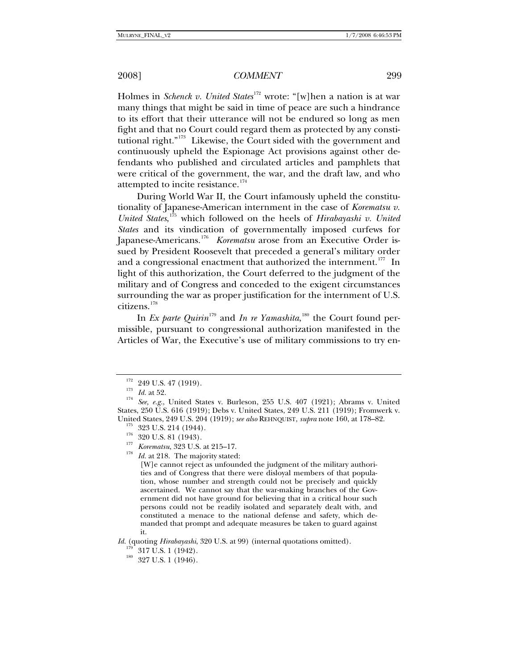Holmes in *Schenck v. United States*<sup>[172](#page-20-0)</sup> wrote: "[w]hen a nation is at war many things that might be said in time of peace are such a hindrance to its effort that their utterance will not be endured so long as men fight and that no Court could regard them as protected by any consti-tutional right."<sup>[173](#page-20-1)</sup> Likewise, the Court sided with the government and continuously upheld the Espionage Act provisions against other defendants who published and circulated articles and pamphlets that were critical of the government, the war, and the draft law, and who attempted to incite resistance.<sup>[174](#page-20-2)</sup>

During World War II, the Court infamously upheld the constitutionality of Japanese-American internment in the case of *Korematsu v. United States*, [175](#page-20-3) which followed on the heels of *Hirabayashi v. United States* and its vindication of governmentally imposed curfews for Japanese-Americans.<sup>[176](#page-20-4)</sup> Korematsu arose from an Executive Order issued by President Roosevelt that preceded a general's military order and a congressional enactment that authorized the internment.<sup>[177](#page-20-5)</sup> In light of this authorization, the Court deferred to the judgment of the military and of Congress and conceded to the exigent circumstances surrounding the war as proper justification for the internment of U.S. citizens.[178](#page-20-6)

In *Ex parte Quirin*<sup>[179](#page-20-7)</sup> and *In re Yamashita*,<sup>[180](#page-20-8)</sup> the Court found permissible, pursuant to congressional authorization manifested in the Articles of War, the Executive's use of military commissions to try en-

[W]e cannot reject as unfounded the judgment of the military authorities and of Congress that there were disloyal members of that population, whose number and strength could not be precisely and quickly ascertained. We cannot say that the war-making branches of the Government did not have ground for believing that in a critical hour such persons could not be readily isolated and separately dealt with, and constituted a menace to the national defense and safety, which demanded that prompt and adequate measures be taken to guard against it.

<span id="page-20-8"></span><span id="page-20-7"></span>*Id.* (quoting *Hirabayashi*, 320 U.S. at 99) (internal quotations omitted).<br><sup>179</sup> 317 U.S. 1 (1942).<br><sup>180</sup> 327 U.S. 1 (1946).

<span id="page-20-2"></span><span id="page-20-1"></span><span id="page-20-0"></span><sup>172 249</sup> U.S. 47 (1919).<br>
173 *Id.* at 52.<br>
174 *See, e.g.*, United States v. Burleson, 255 U.S. 407 (1921); Abrams v. United States, 250 U.S. 616 (1919); Debs v. United States, 249 U.S. 211 (1919); Fromwerk v. United States, 249 U.S. 204 (1919); *see also* REHNQUIST, *supra* note 160, at 178–82.<br><sup>175</sup> 323 U.S. 214 (1944).<br><sup>176</sup> 320 U.S. 81 (1943).<br>*<sup>176</sup> Korematsu*, 323 U.S. at 215–17.<br><sup>177</sup> *Korematsu*, 323 U.S. at 215–17.<br><sup>178</sup>

<span id="page-20-5"></span><span id="page-20-4"></span><span id="page-20-3"></span>

<span id="page-20-6"></span>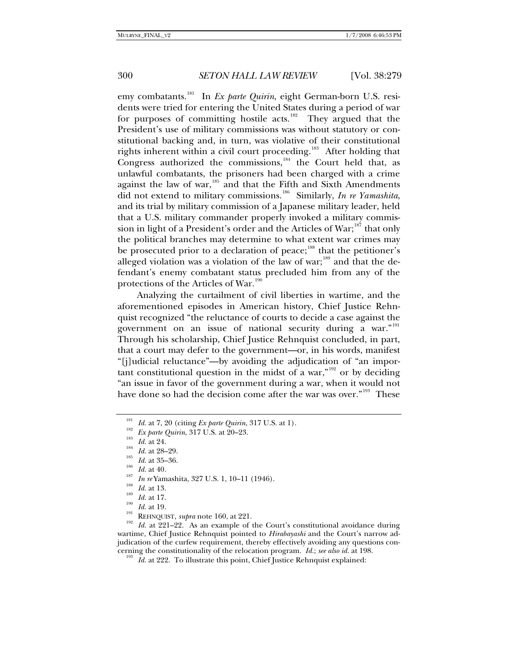emy combatants.<sup>[181](#page-21-0)</sup> In *Ex parte Quirin*, eight German-born U.S. residents were tried for entering the United States during a period of war for purposes of committing hostile acts.<sup>[182](#page-21-1)</sup> They argued that the President's use of military commissions was without statutory or constitutional backing and, in turn, was violative of their constitutional rights inherent within a civil court proceeding.<sup>[183](#page-21-2)</sup> After holding that Congress authorized the commissions,<sup>[184](#page-21-3)</sup> the Court held that, as unlawful combatants, the prisoners had been charged with a crime against the law of war,<sup>[185](#page-21-4)</sup> and that the Fifth and Sixth Amendments did not extend to military commissions.[186](#page-21-5) Similarly, *In re Yamashita*, and its trial by military commission of a Japanese military leader, held that a U.S. military commander properly invoked a military commis-sion in light of a President's order and the Articles of War;<sup>[187](#page-21-6)</sup> that only the political branches may determine to what extent war crimes may be prosecuted prior to a declaration of peace;<sup>[188](#page-21-7)</sup> that the petitioner's alleged violation was a violation of the law of war;<sup>[189](#page-21-8)</sup> and that the defendant's enemy combatant status precluded him from any of the protections of the Articles of War.<sup>[190](#page-21-9)</sup>

Analyzing the curtailment of civil liberties in wartime, and the aforementioned episodes in American history, Chief Justice Rehnquist recognized "the reluctance of courts to decide a case against the government on an issue of national security during a war."<sup>[191](#page-21-10)</sup> Through his scholarship, Chief Justice Rehnquist concluded, in part, that a court may defer to the government—or, in his words, manifest "[j]udicial reluctance"—by avoiding the adjudication of "an important constitutional question in the midst of a war," $192$  or by deciding "an issue in favor of the government during a war, when it would not have done so had the decision come after the war was over."<sup>[193](#page-21-12)</sup> These

- <span id="page-21-7"></span><span id="page-21-6"></span>
- 
- <span id="page-21-8"></span>
- 
- 

<span id="page-21-5"></span><span id="page-21-4"></span><span id="page-21-3"></span><span id="page-21-2"></span><span id="page-21-1"></span><span id="page-21-0"></span><sup>181</sup> *Id.* at 7, 20 (citing *Ex parte Quirin*, 317 U.S. at 1).<br>
<sup>182</sup> *Ex parte Quirin*, 317 U.S. at 20–23.<br>
<sup>183</sup> *Id.* at 24.<br>
<sup>184</sup> *Id.* at 28–29.<br>
<sup>185</sup> *Id.* at 35–36.<br>
<sup>186</sup> *Id.* at 40.<br>
<sup>187</sup> *In re* Yamashita, wartime, Chief Justice Rehnquist pointed to *Hirabayashi* and the Court's narrow adjudication of the curfew requirement, thereby effectively avoiding any questions con-

<span id="page-21-12"></span><span id="page-21-11"></span><span id="page-21-10"></span><span id="page-21-9"></span>cerning the constitutionality of the relocation program. *Id.*; *see also id.* at 198. 193 *Id.* at 222. To illustrate this point, Chief Justice Rehnquist explained: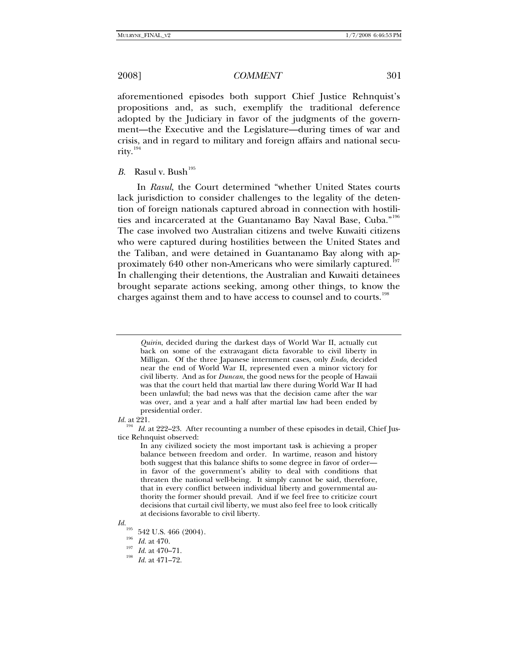aforementioned episodes both support Chief Justice Rehnquist's propositions and, as such, exemplify the traditional deference adopted by the Judiciary in favor of the judgments of the government—the Executive and the Legislature—during times of war and crisis, and in regard to military and foreign affairs and national secu-rity.<sup>[194](#page-22-0)</sup>

### *B.* Rasul v. Bush<sup>[195](#page-22-1)</sup>

In *Rasul*, the Court determined "whether United States courts lack jurisdiction to consider challenges to the legality of the detention of foreign nationals captured abroad in connection with hostilities and incarcerated at the Guantanamo Bay Naval Base, Cuba."[196](#page-22-2) The case involved two Australian citizens and twelve Kuwaiti citizens who were captured during hostilities between the United States and the Taliban, and were detained in Guantanamo Bay along with approximately 640 other non-Americans who were similarly captured.<sup>1</sup> In challenging their detentions, the Australian and Kuwaiti detainees brought separate actions seeking, among other things, to know the charges against them and to have access to counsel and to courts.<sup>[198](#page-22-4)</sup>

*Id.* at 221.

<span id="page-22-0"></span><sup>194</sup> *Id.* at 222–23. After recounting a number of these episodes in detail, Chief Justice Rehnquist observed:

In any civilized society the most important task is achieving a proper balance between freedom and order. In wartime, reason and history both suggest that this balance shifts to some degree in favor of order in favor of the government's ability to deal with conditions that threaten the national well-being. It simply cannot be said, therefore, that in every conflict between individual liberty and governmental authority the former should prevail. And if we feel free to criticize court decisions that curtail civil liberty, we must also feel free to look critically at decisions favorable to civil liberty.

<span id="page-22-4"></span><span id="page-22-3"></span><span id="page-22-2"></span><span id="page-22-1"></span>

*Quirin*, decided during the darkest days of World War II, actually cut back on some of the extravagant dicta favorable to civil liberty in Milligan. Of the three Japanese internment cases, only *Endo*, decided near the end of World War II, represented even a minor victory for civil liberty. And as for *Duncan*, the good news for the people of Hawaii was that the court held that martial law there during World War II had been unlawful; the bad news was that the decision came after the war was over, and a year and a half after martial law had been ended by presidential order.

*Id.*  $^{195}$  542 U.S. 466 (2004).

<sup>&</sup>lt;sup>196</sup> *Id.* at 470.<br><sup>197</sup> *Id.* at 470–71.<br>*Id.* at 471–72.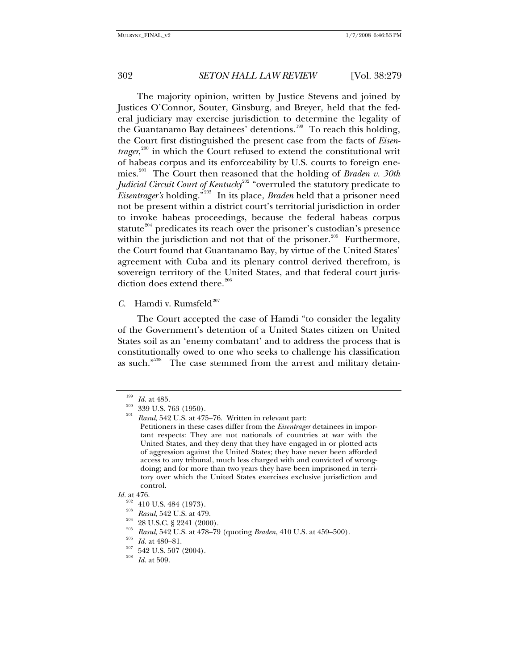The majority opinion, written by Justice Stevens and joined by Justices O'Connor, Souter, Ginsburg, and Breyer, held that the federal judiciary may exercise jurisdiction to determine the legality of the Guantanamo Bay detainees' detentions.<sup>[199](#page-23-0)</sup> To reach this holding, the Court first distinguished the present case from the facts of *Eisentrager*, [200](#page-23-1) in which the Court refused to extend the constitutional writ of habeas corpus and its enforceability by U.S. courts to foreign enemies.[201](#page-23-2) The Court then reasoned that the holding of *Braden v. 30th Judicial Circuit Court of Kentucky*<sup>[202](#page-23-3)</sup> "overruled the statutory predicate to *Eisentrager's* holding."[203](#page-23-4) In its place, *Braden* held that a prisoner need not be present within a district court's territorial jurisdiction in order to invoke habeas proceedings, because the federal habeas corpus statute<sup>[204](#page-23-5)</sup> predicates its reach over the prisoner's custodian's presence within the jurisdiction and not that of the prisoner. $205$  Furthermore, the Court found that Guantanamo Bay, by virtue of the United States' agreement with Cuba and its plenary control derived therefrom, is sovereign territory of the United States, and that federal court jurisdiction does extend there. $206$ 

# *C.* Hamdi v. Rumsfeld<sup>[207](#page-23-8)</sup>

The Court accepted the case of Hamdi "to consider the legality of the Government's detention of a United States citizen on United States soil as an 'enemy combatant' and to address the process that is constitutionally owed to one who seeks to challenge his classification as such."<sup>[208](#page-23-9)</sup> The case stemmed from the arrest and military detain-

- <sup>202</sup> 410 U.S. 484 (1973).<br>
<sup>203</sup> *Rasul*, 542 U.S. at 479.<br>
<sup>204</sup> 28 U.S.C. § 2241 (2000).<br>
<sup>205</sup> *Rasul*, 542 U.S. at 478–79 (quoting *Braden*, 410 U.S. at 459–500).<br>
<sup>206</sup> *Id.* at 480–81.<br>
<sup>207</sup> 542 U.S. 507 (2004).<br>
- <span id="page-23-8"></span>
- <span id="page-23-9"></span>
- 

<span id="page-23-2"></span><span id="page-23-1"></span>

<span id="page-23-0"></span><sup>&</sup>lt;sup>199</sup> *Id.* at 485.<br><sup>200</sup> 339 U.S. 763 (1950).<br><sup>201</sup> *Rasul*, 542 U.S. at 475–76. Written in relevant part:

Petitioners in these cases differ from the *Eisentrager* detainees in important respects: They are not nationals of countries at war with the United States, and they deny that they have engaged in or plotted acts of aggression against the United States; they have never been afforded access to any tribunal, much less charged with and convicted of wrongdoing; and for more than two years they have been imprisoned in territory over which the United States exercises exclusive jurisdiction and control.

<span id="page-23-7"></span><span id="page-23-6"></span><span id="page-23-5"></span><span id="page-23-4"></span><span id="page-23-3"></span>*Id.* at 476.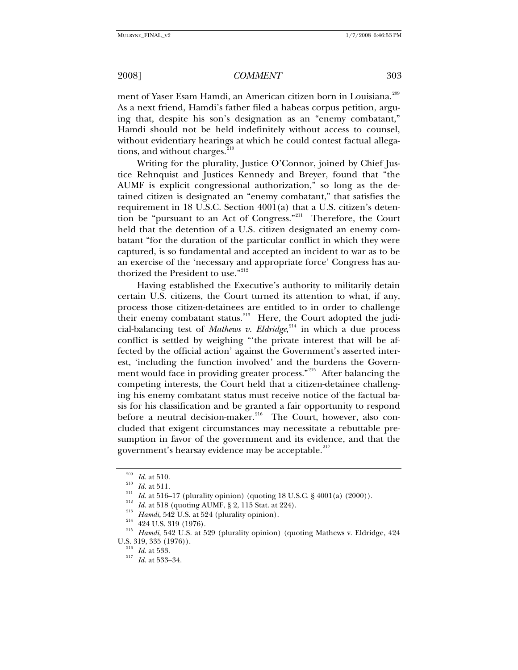ment of Yaser Esam Hamdi, an American citizen born in Louisiana.<sup>[209](#page-24-0)</sup> As a next friend, Hamdi's father filed a habeas corpus petition, arguing that, despite his son's designation as an "enemy combatant," Hamdi should not be held indefinitely without access to counsel, without evidentiary hearings at which he could contest factual allegations, and without charges.<sup>2</sup>

Writing for the plurality, Justice O'Connor, joined by Chief Justice Rehnquist and Justices Kennedy and Breyer, found that "the AUMF is explicit congressional authorization," so long as the detained citizen is designated an "enemy combatant," that satisfies the requirement in 18 U.S.C. Section 4001(a) that a U.S. citizen's deten-tion be "pursuant to an Act of Congress."<sup>[211](#page-24-2)</sup> Therefore, the Court held that the detention of a U.S. citizen designated an enemy combatant "for the duration of the particular conflict in which they were captured, is so fundamental and accepted an incident to war as to be an exercise of the 'necessary and appropriate force' Congress has au-thorized the President to use."<sup>[212](#page-24-3)</sup>

Having established the Executive's authority to militarily detain certain U.S. citizens, the Court turned its attention to what, if any, process those citizen-detainees are entitled to in order to challenge their enemy combatant status. $213$  Here, the Court adopted the judicial-balancing test of *Mathews v. Eldridge*, [214](#page-24-5) in which a due process conflict is settled by weighing "'the private interest that will be affected by the official action' against the Government's asserted interest, 'including the function involved' and the burdens the Govern-ment would face in providing greater process."<sup>[215](#page-24-6)</sup> After balancing the competing interests, the Court held that a citizen-detainee challenging his enemy combatant status must receive notice of the factual basis for his classification and be granted a fair opportunity to respond before a neutral decision-maker.<sup>[216](#page-24-7)</sup> The Court, however, also concluded that exigent circumstances may necessitate a rebuttable presumption in favor of the government and its evidence, and that the government's hearsay evidence may be acceptable.<sup>[217](#page-24-8)</sup>

<span id="page-24-5"></span>

<span id="page-24-6"></span>

<span id="page-24-4"></span><span id="page-24-3"></span><span id="page-24-2"></span><span id="page-24-1"></span><span id="page-24-0"></span><sup>&</sup>lt;sup>209</sup> *Id.* at 510.<br>
<sup>210</sup> *Id.* at 511.<br> *Id.* at 516–17 (plurality opinion) (quoting 18 U.S.C. § 4001(a) (2000)).<br>
<sup>212</sup> *Id.* at 518 (quoting AUMF, § 2, 115 Stat. at 224).<br>
<sup>213</sup> *Hamdi*, 542 U.S. at 524 (plurality opi

<span id="page-24-8"></span><span id="page-24-7"></span><sup>&</sup>lt;sup>216</sup> *Id.* at 533.<br><sup>217</sup> *Id.* at 533–34.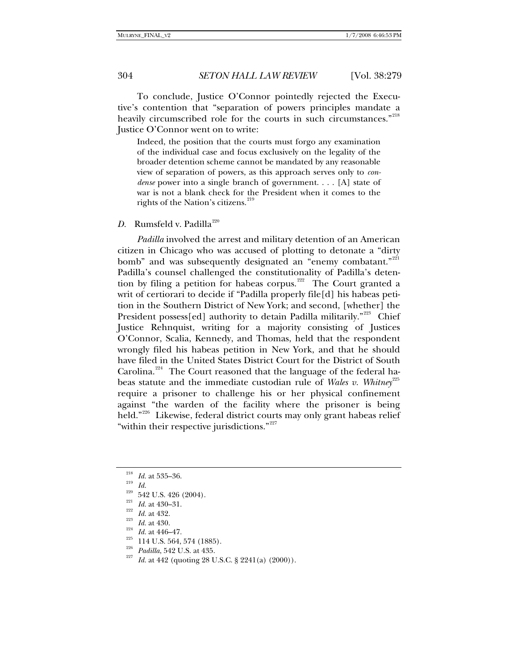To conclude, Justice O'Connor pointedly rejected the Executive's contention that "separation of powers principles mandate a heavily circumscribed role for the courts in such circumstances."<sup>[218](#page-25-0)</sup> Justice O'Connor went on to write:

Indeed, the position that the courts must forgo any examination of the individual case and focus exclusively on the legality of the broader detention scheme cannot be mandated by any reasonable view of separation of powers, as this approach serves only to *condense* power into a single branch of government. . . . [A] state of war is not a blank check for the President when it comes to the rights of the Nation's citizens.<sup>21</sup>

*D.* Rumsfeld v. Padilla<sup>[220](#page-25-2)</sup>

*Padilla* involved the arrest and military detention of an American citizen in Chicago who was accused of plotting to detonate a "dirty bomb" and was subsequently designated an "enemy combatant."<sup>[221](#page-25-3)</sup> Padilla's counsel challenged the constitutionality of Padilla's detention by filing a petition for habeas corpus.<sup> $222$ </sup> The Court granted a writ of certiorari to decide if "Padilla properly file[d] his habeas petition in the Southern District of New York; and second, [whether] the President possess[ed] authority to detain Padilla militarily."<sup>[223](#page-25-5)</sup> Chief Justice Rehnquist, writing for a majority consisting of Justices O'Connor, Scalia, Kennedy, and Thomas, held that the respondent wrongly filed his habeas petition in New York, and that he should have filed in the United States District Court for the District of South Carolina.<sup>[224](#page-25-6)</sup> The Court reasoned that the language of the federal habeas statute and the immediate custodian rule of *Wales v. Whitney*<sup>[225](#page-25-7)</sup> require a prisoner to challenge his or her physical confinement against "the warden of the facility where the prisoner is being held."[226](#page-25-8) Likewise, federal district courts may only grant habeas relief "within their respective jurisdictions."<sup>[227](#page-25-9)</sup>

- <span id="page-25-2"></span><span id="page-25-1"></span><span id="page-25-0"></span>
- 
- 
- <span id="page-25-3"></span>
- 
- <span id="page-25-6"></span><span id="page-25-5"></span><span id="page-25-4"></span>
- 
- <span id="page-25-9"></span><span id="page-25-8"></span><span id="page-25-7"></span>
- 
- <sup>218</sup> Id. at 535–36.<br>
<sup>219</sup> Id.<br>
<sup>220</sup> 542 U.S. 426 (2004).<br>
<sup>221</sup> Id. at 430–31.<br>
<sup>222</sup> Id. at 432.<br>
<sup>223</sup> Id. at 430.<br>
<sup>224</sup> Il. at 446–47.<br>
<sup>225</sup> Il.4 U.S. 564, 574 (1885).<br> *Padilla*, 542 U.S. at 435.<br>
<sup>226</sup> Padilla,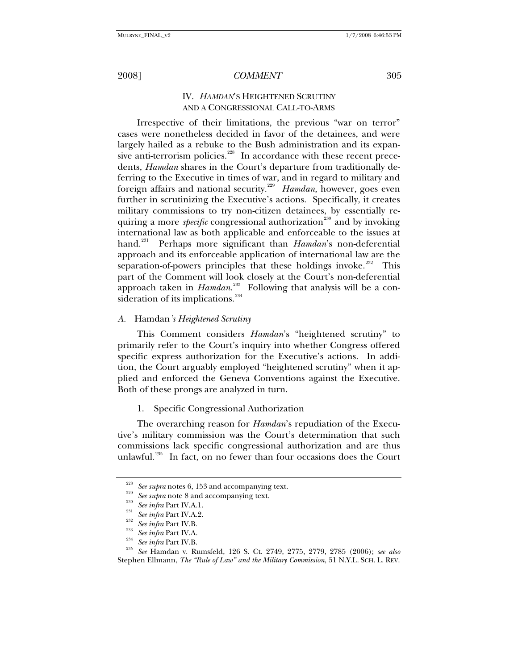# IV. *HAMDAN*'S HEIGHTENED SCRUTINY AND A CONGRESSIONAL CALL-TO-ARMS

Irrespective of their limitations, the previous "war on terror" cases were nonetheless decided in favor of the detainees, and were largely hailed as a rebuke to the Bush administration and its expan-sive anti-terrorism policies.<sup>[228](#page-26-0)</sup> In accordance with these recent precedents, *Hamdan* shares in the Court's departure from traditionally deferring to the Executive in times of war, and in regard to military and foreign affairs and national security.<sup>[229](#page-26-1)</sup> Hamdan, however, goes even further in scrutinizing the Executive's actions. Specifically, it creates military commissions to try non-citizen detainees, by essentially requiring a more *specific* congressional authorization<sup>[230](#page-26-2)</sup> and by invoking international law as both applicable and enforceable to the issues at hand.[231](#page-26-3) Perhaps more significant than *Hamdan*'s non-deferential approach and its enforceable application of international law are the separation-of-powers principles that these holdings invoke.<sup>[232](#page-26-4)</sup> This part of the Comment will look closely at the Court's non-deferential approach taken in *Hamdan*.<sup>[233](#page-26-5)</sup> Following that analysis will be a con-sideration of its implications.<sup>[234](#page-26-6)</sup>

#### *A.* Hamdan*'s Heightened Scrutiny*

This Comment considers *Hamdan*'s "heightened scrutiny" to primarily refer to the Court's inquiry into whether Congress offered specific express authorization for the Executive's actions. In addition, the Court arguably employed "heightened scrutiny" when it applied and enforced the Geneva Conventions against the Executive. Both of these prongs are analyzed in turn.

1. Specific Congressional Authorization

The overarching reason for *Hamdan*'s repudiation of the Executive's military commission was the Court's determination that such commissions lack specific congressional authorization and are thus unlawful.<sup>[235](#page-26-7)</sup> In fact, on no fewer than four occasions does the Court

<span id="page-26-7"></span><span id="page-26-6"></span><span id="page-26-5"></span>

<span id="page-26-4"></span><span id="page-26-3"></span><span id="page-26-2"></span><span id="page-26-1"></span><span id="page-26-0"></span><sup>&</sup>lt;sup>228</sup> See supra notes 6, 153 and accompanying text.<br>
<sup>229</sup> See supra note 8 and accompanying text.<br>
<sup>230</sup> See infra Part IV.A.1.<br>
<sup>231</sup> See infra Part IV.A.2.<br>
<sup>232</sup> See infra Part IV.B.<br>
<sup>233</sup> See infra Part IV.A.<br> *See* Stephen Ellmann, *The "Rule of Law" and the Military Commission*, 51 N.Y.L. SCH. L. REV.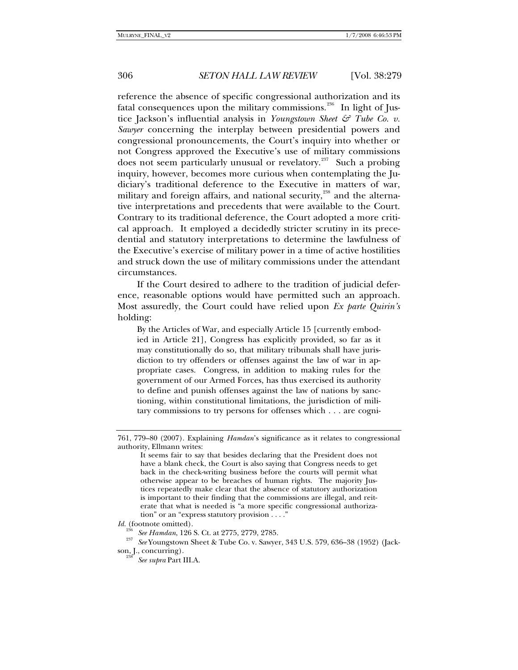reference the absence of specific congressional authorization and its fatal consequences upon the military commissions.<sup>[236](#page-27-0)</sup> In light of Justice Jackson's influential analysis in *Youngstown Sheet & Tube Co. v. Sawyer* concerning the interplay between presidential powers and congressional pronouncements, the Court's inquiry into whether or not Congress approved the Executive's use of military commissions does not seem particularly unusual or revelatory.<sup>[237](#page-27-1)</sup> Such a probing inquiry, however, becomes more curious when contemplating the Judiciary's traditional deference to the Executive in matters of war, military and foreign affairs, and national security, $^{238}$  $^{238}$  $^{238}$  and the alternative interpretations and precedents that were available to the Court. Contrary to its traditional deference, the Court adopted a more critical approach. It employed a decidedly stricter scrutiny in its precedential and statutory interpretations to determine the lawfulness of the Executive's exercise of military power in a time of active hostilities and struck down the use of military commissions under the attendant circumstances.

If the Court desired to adhere to the tradition of judicial deference, reasonable options would have permitted such an approach. Most assuredly, the Court could have relied upon *Ex parte Quirin's* holding:

By the Articles of War, and especially Article 15 [currently embodied in Article 21], Congress has explicitly provided, so far as it may constitutionally do so, that military tribunals shall have jurisdiction to try offenders or offenses against the law of war in appropriate cases. Congress, in addition to making rules for the government of our Armed Forces, has thus exercised its authority to define and punish offenses against the law of nations by sanctioning, within constitutional limitations, the jurisdiction of military commissions to try persons for offenses which . . . are cogni-

<sup>761,</sup> 779–80 (2007). Explaining *Hamdan*'s significance as it relates to congressional authority, Ellmann writes:

It seems fair to say that besides declaring that the President does not have a blank check, the Court is also saying that Congress needs to get back in the check-writing business before the courts will permit what otherwise appear to be breaches of human rights. The majority Justices repeatedly make clear that the absence of statutory authorization is important to their finding that the commissions are illegal, and reiterate that what is needed is "a more specific congressional authorization" or an "express statutory provision . . . ."

*Id.* (footnote omitted).

<span id="page-27-2"></span><span id="page-27-1"></span><span id="page-27-0"></span><sup>&</sup>lt;sup>236</sup> See Hamdan, 126 S. Ct. at 2775, 2779, 2785.<br><sup>237</sup> See Youngstown Sheet & Tube Co. v. Sawyer, 343 U.S. 579, 636–38 (1952) (Jackson, J., concurring). 238 *See supra* Part III.A.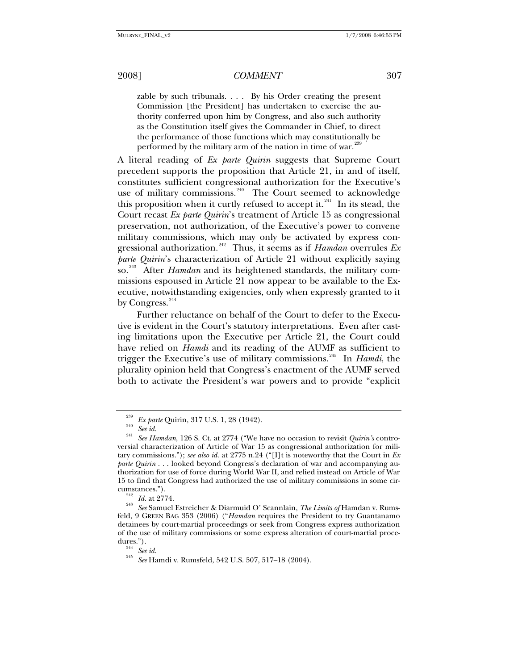zable by such tribunals. . . . By his Order creating the present Commission [the President] has undertaken to exercise the authority conferred upon him by Congress, and also such authority as the Constitution itself gives the Commander in Chief, to direct the performance of those functions which may constitutionally be performed by the military arm of the nation in time of war.<sup>23</sup>

A literal reading of *Ex parte Quirin* suggests that Supreme Court precedent supports the proposition that Article 21, in and of itself, constitutes sufficient congressional authorization for the Executive's use of military commissions.<sup>[240](#page-28-1)</sup> The Court seemed to acknowledge this proposition when it curtly refused to accept it. $^{241}$  $^{241}$  $^{241}$  In its stead, the Court recast *Ex parte Quirin*'s treatment of Article 15 as congressional preservation, not authorization, of the Executive's power to convene military commissions, which may only be activated by express con-gressional authorization.<sup>[242](#page-28-3)</sup> Thus, it seems as if  $Hamdan$  overrules  $Ex$ *parte Quirin*'s characterization of Article 21 without explicitly saying so.<sup>[243](#page-28-4)</sup> After *Hamdan* and its heightened standards, the military commissions espoused in Article 21 now appear to be available to the Executive, notwithstanding exigencies, only when expressly granted to it by Congress.<sup>[244](#page-28-5)</sup>

Further reluctance on behalf of the Court to defer to the Executive is evident in the Court's statutory interpretations. Even after casting limitations upon the Executive per Article 21, the Court could have relied on *Hamdi* and its reading of the AUMF as sufficient to trigger the Executive's use of military commissions.[245](#page-28-6) In *Hamdi*, the plurality opinion held that Congress's enactment of the AUMF served both to activate the President's war powers and to provide "explicit

<span id="page-28-2"></span><span id="page-28-1"></span><span id="page-28-0"></span><sup>&</sup>lt;sup>239</sup> Ex parte Quirin, 317 U.S. 1, 28 (1942).<br><sup>240</sup> See id.<br><sup>241</sup> See Hamdan, 126 S. Ct. at 2774 ("We have no occasion to revisit *Quirin's* controversial characterization of Article of War 15 as congressional authorization for military commissions."); *see also id.* at 2775 n.24 ("[I]t is noteworthy that the Court in *Ex parte Quirin* . . . looked beyond Congress's declaration of war and accompanying authorization for use of force during World War II, and relied instead on Article of War 15 to find that Congress had authorized the use of military commissions in some cir-

<span id="page-28-4"></span><span id="page-28-3"></span>cumstances."). 242 *Id.* at 2774. 243 *See* Samuel Estreicher & Diarmuid O' Scannlain, *The Limits of* Hamdan v. Rumsfeld, 9 GREEN BAG 353 (2006) ("*Hamdan* requires the President to try Guantanamo detainees by court-martial proceedings or seek from Congress express authorization of the use of military commissions or some express alteration of court-martial proce-<br>dures.").<br> $\frac{244}{3}$  See id.

<span id="page-28-6"></span><span id="page-28-5"></span><sup>&</sup>lt;sup>245</sup> See Hamdi v. Rumsfeld, 542 U.S. 507, 517–18 (2004).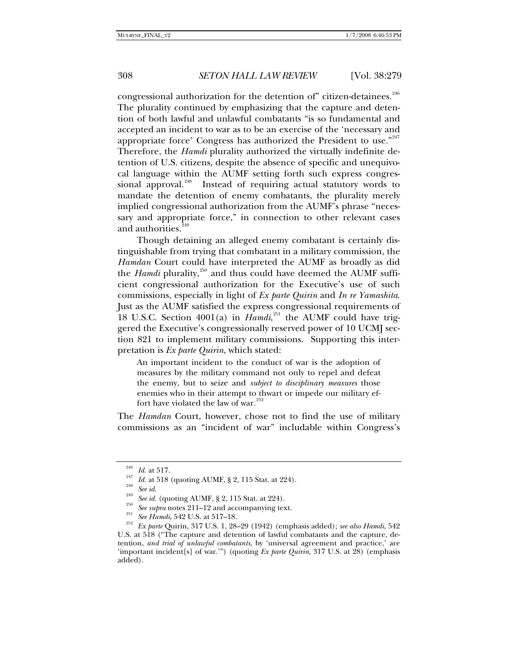congressional authorization for the detention of" citizen-detainees.<sup>[246](#page-29-0)</sup> The plurality continued by emphasizing that the capture and detention of both lawful and unlawful combatants "is so fundamental and accepted an incident to war as to be an exercise of the 'necessary and appropriate force' Congress has authorized the President to use."<sup>[247](#page-29-1)</sup> Therefore, the *Hamdi* plurality authorized the virtually indefinite detention of U.S. citizens, despite the absence of specific and unequivocal language within the AUMF setting forth such express congres-sional approval.<sup>[248](#page-29-2)</sup> Instead of requiring actual statutory words to mandate the detention of enemy combatants, the plurality merely implied congressional authorization from the AUMF's phrase "necessary and appropriate force," in connection to other relevant cases and authorities.<sup>2</sup>

Though detaining an alleged enemy combatant is certainly distinguishable from trying that combatant in a military commission, the *Hamdan* Court could have interpreted the AUMF as broadly as did the *Hamdi* plurality,<sup>[250](#page-29-4)</sup> and thus could have deemed the AUMF sufficient congressional authorization for the Executive's use of such commissions, especially in light of *Ex parte Quirin* and *In re Yamashita*. Just as the AUMF satisfied the express congressional requirements of 18 U.S.C. Section 4001(a) in *Hamdi*,<sup>[251](#page-29-5)</sup> the AUMF could have triggered the Executive's congressionally reserved power of 10 UCMJ section 821 to implement military commissions. Supporting this interpretation is *Ex parte Quirin*, which stated:

An important incident to the conduct of war is the adoption of measures by the military command not only to repel and defeat the enemy, but to seize and *subject to disciplinary measures* those enemies who in their attempt to thwart or impede our military effort have violated the law of war. $252$ 

The *Hamdan* Court, however, chose not to find the use of military commissions as an "incident of war" includable within Congress's

<span id="page-29-5"></span>

<span id="page-29-6"></span>

<span id="page-29-4"></span><span id="page-29-3"></span><span id="page-29-2"></span><span id="page-29-1"></span><span id="page-29-0"></span><sup>&</sup>lt;sup>240</sup> *Id.* at 517.<br>
<sup>247</sup> *Id.* at 518 (quoting AUMF, § 2, 115 Stat. at 224).<br>
<sup>248</sup> *See id.* (quoting AUMF, § 2, 115 Stat. at 224).<br>
<sup>250</sup> *See supra* notes 211–12 and accompanying text.<br> *251 See Hamdi*, 542 U.S. at U.S. at 518 ("The capture and detention of lawful combatants and the capture, detention, *and trial of unlawful combatants*, by 'universal agreement and practice,' are 'important incident[s] of war.'") (quoting *Ex parte Quirin*, 317 U.S. at 28) (emphasis added).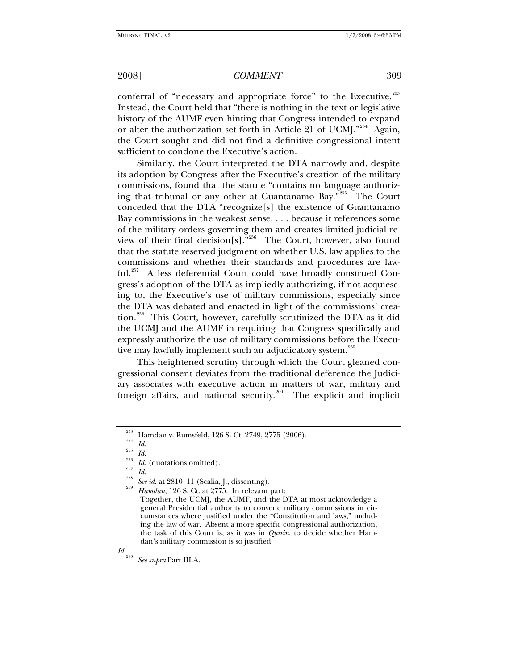conferral of "necessary and appropriate force" to the Executive.<sup>[253](#page-30-0)</sup> Instead, the Court held that "there is nothing in the text or legislative history of the AUMF even hinting that Congress intended to expand or alter the authorization set forth in Article 21 of UCMJ."<sup>[254](#page-30-1)</sup> Again, the Court sought and did not find a definitive congressional intent sufficient to condone the Executive's action.

Similarly, the Court interpreted the DTA narrowly and, despite its adoption by Congress after the Executive's creation of the military commissions, found that the statute "contains no language authoriz-ing that tribunal or any other at Guantanamo Bay."<sup>[255](#page-30-2)</sup> The Court conceded that the DTA "recognize[s] the existence of Guantanamo Bay commissions in the weakest sense, . . . because it references some of the military orders governing them and creates limited judicial review of their final decision[s]."[256](#page-30-3) The Court, however, also found that the statute reserved judgment on whether U.S. law applies to the commissions and whether their standards and procedures are law-ful.<sup>[257](#page-30-4)</sup> A less deferential Court could have broadly construed Congress's adoption of the DTA as impliedly authorizing, if not acquiescing to, the Executive's use of military commissions, especially since the DTA was debated and enacted in light of the commissions' crea-tion.<sup>[258](#page-30-5)</sup> This Court, however, carefully scrutinized the DTA as it did the UCMJ and the AUMF in requiring that Congress specifically and expressly authorize the use of military commissions before the Execu-tive may lawfully implement such an adjudicatory system.<sup>[259](#page-30-6)</sup>

This heightened scrutiny through which the Court gleaned congressional consent deviates from the traditional deference the Judiciary associates with executive action in matters of war, military and foreign affairs, and national security.<sup>[260](#page-30-7)</sup> The explicit and implicit

<span id="page-30-4"></span><span id="page-30-3"></span>

<span id="page-30-7"></span>

<span id="page-30-0"></span><sup>&</sup>lt;sup>253</sup> Hamdan v. Rumsfeld, 126 S. Ct. 2749, 2775 (2006).<br><sup>254</sup> *Id.*<br><sup>255</sup> *Id.*<br><sup>255</sup> *Id.* (quotations omitted).<br><sup>258</sup> *Id.* See id. at 2810–11 (Scalia, J., dissenting).<br><sup>258</sup> *Hamdan*, 126 S. Ct. at 2775. In relevant par

<span id="page-30-2"></span><span id="page-30-1"></span>

<span id="page-30-6"></span><span id="page-30-5"></span>

Together, the UCMJ, the AUMF, and the DTA at most acknowledge a general Presidential authority to convene military commissions in circumstances where justified under the "Constitution and laws," including the law of war. Absent a more specific congressional authorization, the task of this Court is, as it was in *Quirin*, to decide whether Hamdan's military commission is so justified.

*Id.*<sup>260</sup> *See supra* Part III.A.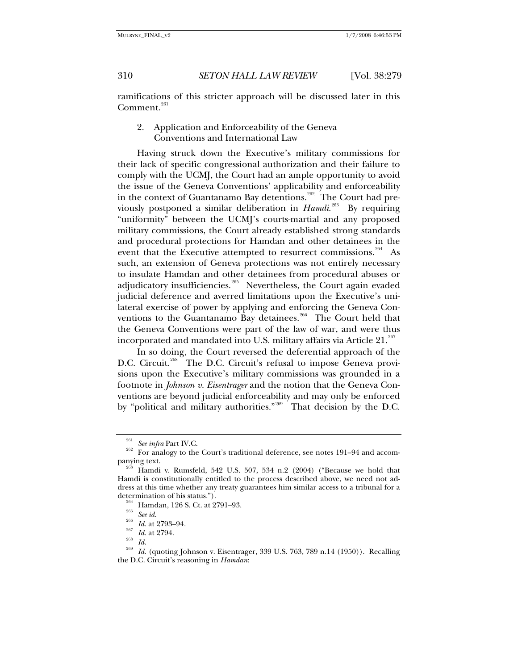ramifications of this stricter approach will be discussed later in this  $Comment.<sup>261</sup>$  $Comment.<sup>261</sup>$  $Comment.<sup>261</sup>$ 

2. Application and Enforceability of the Geneva Conventions and International Law

Having struck down the Executive's military commissions for their lack of specific congressional authorization and their failure to comply with the UCMJ, the Court had an ample opportunity to avoid the issue of the Geneva Conventions' applicability and enforceability in the context of Guantanamo Bay detentions.<sup>[262](#page-31-1)</sup> The Court had previously postponed a similar deliberation in *Hamdi*. [263](#page-31-2) By requiring "uniformity" between the UCMJ's courts-martial and any proposed military commissions, the Court already established strong standards and procedural protections for Hamdan and other detainees in the event that the Executive attempted to resurrect commissions.<sup>[264](#page-31-3)</sup> As such, an extension of Geneva protections was not entirely necessary to insulate Hamdan and other detainees from procedural abuses or adjudicatory insufficiencies.<sup>[265](#page-31-4)</sup> Nevertheless, the Court again evaded judicial deference and averred limitations upon the Executive's unilateral exercise of power by applying and enforcing the Geneva Con-ventions to the Guantanamo Bay detainees.<sup>[266](#page-31-5)</sup> The Court held that the Geneva Conventions were part of the law of war, and were thus incorporated and mandated into U.S. military affairs via Article  $21.^{267}$  $21.^{267}$  $21.^{267}$ 

In so doing, the Court reversed the deferential approach of the D.C. Circuit.<sup>[268](#page-31-7)</sup> The D.C. Circuit's refusal to impose Geneva provisions upon the Executive's military commissions was grounded in a footnote in *Johnson v. Eisentrager* and the notion that the Geneva Conventions are beyond judicial enforceability and may only be enforced by "political and military authorities."<sup>[269](#page-31-8)</sup> That decision by the D.C.

<span id="page-31-1"></span><span id="page-31-0"></span>Equilibrary See infra Part IV.C.<br>262 For analogy to the Court's traditional deference, see notes 191–94 and accompanying text.<br><sup>263</sup> Hamdi v. Rumsfeld, 542 U.S. 507, 534 n.2 (2004) ("Because we hold that

<span id="page-31-3"></span><span id="page-31-2"></span>Hamdi is constitutionally entitled to the process described above, we need not address at this time whether any treaty guarantees him similar access to a tribunal for a determination of his status.").<br>
<sup>264</sup> Hamdan, 126 S. Ct. at 2791–93.<br>
<sup>265</sup> *See id.*<br>
<sup>265</sup> *Id.* at 2793–94.<br>
<sup>267</sup> *Id.* at 2794.<br>
<sup>268</sup> *Id.* (quoting Johnson v. Eisentrager, 339 U.S. 763, 789 n.14 (1950)). Recalling

<span id="page-31-8"></span><span id="page-31-7"></span><span id="page-31-6"></span><span id="page-31-5"></span><span id="page-31-4"></span>the D.C. Circuit's reasoning in *Hamdan*: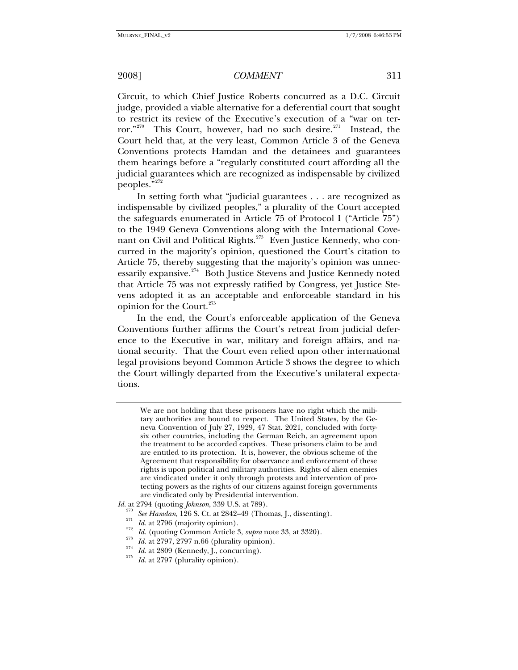Circuit, to which Chief Justice Roberts concurred as a D.C. Circuit judge, provided a viable alternative for a deferential court that sought to restrict its review of the Executive's execution of a "war on ter-ror."<sup>[270](#page-32-0)</sup> This Court, however, had no such desire.<sup>[271](#page-32-1)</sup> Instead, the Court held that, at the very least, Common Article 3 of the Geneva Conventions protects Hamdan and the detainees and guarantees them hearings before a "regularly constituted court affording all the judicial guarantees which are recognized as indispensable by civilized peoples."[272](#page-32-2)

In setting forth what "judicial guarantees . . . are recognized as indispensable by civilized peoples," a plurality of the Court accepted the safeguards enumerated in Article 75 of Protocol I ("Article 75") to the 1949 Geneva Conventions along with the International Cove-nant on Civil and Political Rights.<sup>[273](#page-32-3)</sup> Even Justice Kennedy, who concurred in the majority's opinion, questioned the Court's citation to Article 75, thereby suggesting that the majority's opinion was unnec-essarily expansive.<sup>[274](#page-32-4)</sup> Both Justice Stevens and Justice Kennedy noted that Article 75 was not expressly ratified by Congress, yet Justice Stevens adopted it as an acceptable and enforceable standard in his opinion for the Court.<sup>[275](#page-32-5)</sup>

In the end, the Court's enforceable application of the Geneva Conventions further affirms the Court's retreat from judicial deference to the Executive in war, military and foreign affairs, and national security. That the Court even relied upon other international legal provisions beyond Common Article 3 shows the degree to which the Court willingly departed from the Executive's unilateral expectations.

We are not holding that these prisoners have no right which the military authorities are bound to respect. The United States, by the Geneva Convention of July 27, 1929, 47 Stat. 2021, concluded with fortysix other countries, including the German Reich, an agreement upon the treatment to be accorded captives. These prisoners claim to be and are entitled to its protection. It is, however, the obvious scheme of the Agreement that responsibility for observance and enforcement of these rights is upon political and military authorities. Rights of alien enemies are vindicated under it only through protests and intervention of protecting powers as the rights of our citizens against foreign governments are vindicated only by Presidential intervention.

<span id="page-32-3"></span><span id="page-32-2"></span><span id="page-32-1"></span><span id="page-32-0"></span>*Id.* at 2794 (quoting *Johnson*, 339 U.S. at 789).<br>
<sup>270</sup> See Hamdan, 126 S. Ct. at 2842–49 (Thomas, J., dissenting).<br>
<sup>271</sup> *Id.* at 2796 (majority opinion).<br>
<sup>272</sup> *Id.* (quoting Common Article 3, *supra* note 33, at 3

<span id="page-32-5"></span><span id="page-32-4"></span>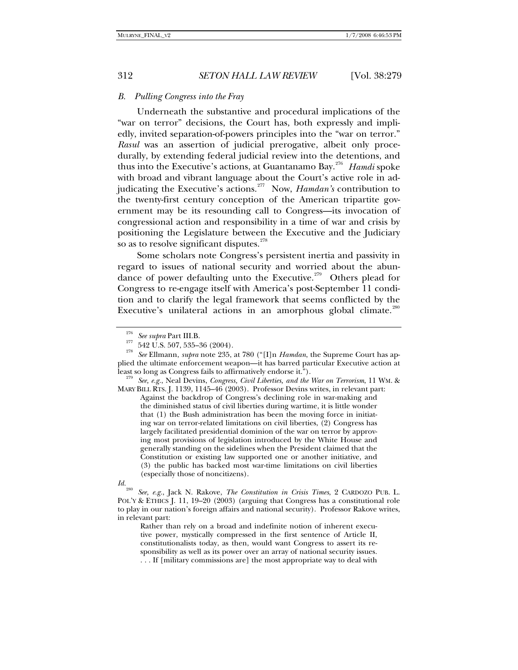#### *B. Pulling Congress into the Fray*

Underneath the substantive and procedural implications of the "war on terror" decisions, the Court has, both expressly and impliedly, invited separation-of-powers principles into the "war on terror." *Rasul* was an assertion of judicial prerogative, albeit only procedurally, by extending federal judicial review into the detentions, and thus into the Executive's actions, at Guantanamo Bay.[276](#page-33-0) *Hamdi* spoke with broad and vibrant language about the Court's active role in ad-judicating the Executive's actions.<sup>[277](#page-33-1)</sup> Now, *Hamdan's* contribution to the twenty-first century conception of the American tripartite government may be its resounding call to Congress—its invocation of congressional action and responsibility in a time of war and crisis by positioning the Legislature between the Executive and the Judiciary so as to resolve significant disputes.<sup>[278](#page-33-2)</sup>

Some scholars note Congress's persistent inertia and passivity in regard to issues of national security and worried about the abun-dance of power defaulting unto the Executive.<sup>[279](#page-33-3)</sup> Others plead for Congress to re-engage itself with America's post-September 11 condition and to clarify the legal framework that seems conflicted by the Executive's unilateral actions in an amorphous global climate.<sup>[280](#page-33-4)</sup>

<span id="page-33-3"></span>MARY BILL RTS. J. 1139, 1145–46 (2003). Professor Devins writes, in relevant part:

Against the backdrop of Congress's declining role in war-making and the diminished status of civil liberties during wartime, it is little wonder that (1) the Bush administration has been the moving force in initiating war on terror-related limitations on civil liberties, (2) Congress has largely facilitated presidential dominion of the war on terror by approving most provisions of legislation introduced by the White House and generally standing on the sidelines when the President claimed that the Constitution or existing law supported one or another initiative, and (3) the public has backed most war-time limitations on civil liberties (especially those of noncitizens).

Rather than rely on a broad and indefinite notion of inherent executive power, mystically compressed in the first sentence of Article II, constitutionalists today, as then, would want Congress to assert its responsibility as well as its power over an array of national security issues. . . . If [military commissions are] the most appropriate way to deal with

<span id="page-33-2"></span><span id="page-33-1"></span><span id="page-33-0"></span><sup>276</sup> *See supra* Part III.B. 277 542 U.S. 507, 535–36 (2004). 278 *See* Ellmann, *supra* note 235, at 780 ("[I]n *Hamdan*, the Supreme Court has applied the ultimate enforcement weapon—it has barred particular Executive action at least so long as Congress fails to affirmatively endorse it."). 279 *See, e.g.*, Neal Devins, *Congress, Civil Liberties, and the War on Terrorism*, 11 WM. &

<span id="page-33-4"></span>*Id.*<sup>280</sup> *See, e.g.*, Jack N. Rakove, *The Constitution in Crisis Times*, 2 CARDOZO PUB. L. POL'Y & ETHICS J. 11, 19–20 (2003) (arguing that Congress has a constitutional role to play in our nation's foreign affairs and national security). Professor Rakove writes, in relevant part: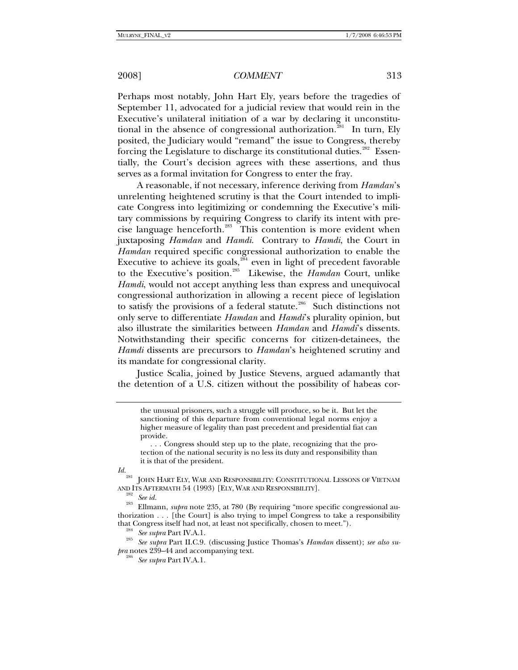Perhaps most notably, John Hart Ely, years before the tragedies of September 11, advocated for a judicial review that would rein in the Executive's unilateral initiation of a war by declaring it unconstitu-tional in the absence of congressional authorization.<sup>[281](#page-34-0)</sup> In turn, Ely posited, the Judiciary would "remand" the issue to Congress, thereby forcing the Legislature to discharge its constitutional duties.<sup>[282](#page-34-1)</sup> Essentially, the Court's decision agrees with these assertions, and thus serves as a formal invitation for Congress to enter the fray.

A reasonable, if not necessary, inference deriving from *Hamdan*'s unrelenting heightened scrutiny is that the Court intended to implicate Congress into legitimizing or condemning the Executive's military commissions by requiring Congress to clarify its intent with precise language henceforth.[283](#page-34-2) This contention is more evident when juxtaposing *Hamdan* and *Hamdi*. Contrary to *Hamdi*, the Court in *Hamdan* required specific congressional authorization to enable the Executive to achieve its goals, $284$  even in light of precedent favorable to the Executive's position.[285](#page-34-4) Likewise, the *Hamdan* Court, unlike *Hamdi*, would not accept anything less than express and unequivocal congressional authorization in allowing a recent piece of legislation to satisfy the provisions of a federal statute.<sup>[286](#page-34-5)</sup> Such distinctions not only serve to differentiate *Hamdan* and *Hamdi*'s plurality opinion, but also illustrate the similarities between *Hamdan* and *Hamdi*'s dissents. Notwithstanding their specific concerns for citizen-detainees, the *Hamdi* dissents are precursors to *Hamdan*'s heightened scrutiny and its mandate for congressional clarity.

Justice Scalia, joined by Justice Stevens, argued adamantly that the detention of a U.S. citizen without the possibility of habeas cor-

<span id="page-34-0"></span>

<span id="page-34-5"></span><span id="page-34-4"></span><span id="page-34-3"></span>*pra* notes 239–44 and accompanying text.

the unusual prisoners, such a struggle will produce, so be it. But let the sanctioning of this departure from conventional legal norms enjoy a higher measure of legality than past precedent and presidential fiat can provide.

 <sup>. . .</sup> Congress should step up to the plate, recognizing that the protection of the national security is no less its duty and responsibility than it is that of the president.

*Id.*281 JOHN HART ELY, WAR AND RESPONSIBILITY: CONSTITUTIONAL LESSONS OF VIETNAM AND ITS AFTERMATH 54 (1993) [ELY, WAR AND RESPONSIBILITY]. 282 *See id.* 283 Ellmann, *supra* note 235, at 780 (By requiring "more specific congressional au-

<span id="page-34-2"></span><span id="page-34-1"></span>thorization . . . [the Court] is also trying to impel Congress to take a responsibility that Congress itself had not, at least not specifically, chosen to meet."). 284 *See supra* Part IV.A.1. 285 *See supra* Part II.C.9. (discussing Justice Thomas's *Hamdan* dissent); *see also su-*

<sup>286</sup> *See supra* Part IV.A.1.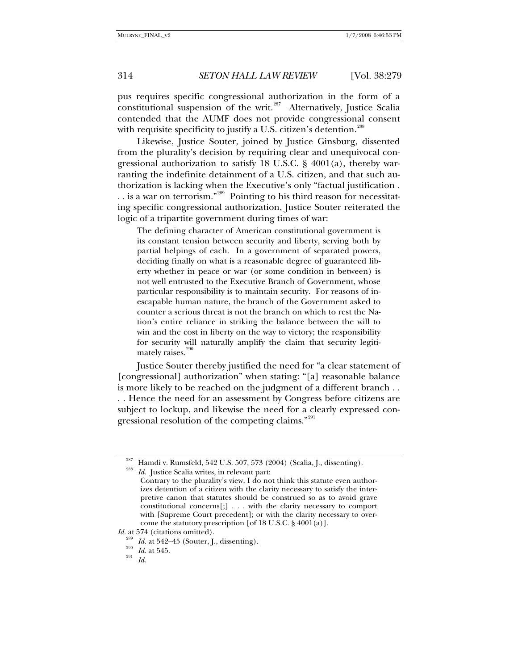pus requires specific congressional authorization in the form of a constitutional suspension of the writ. $287$  Alternatively, Justice Scalia contended that the AUMF does not provide congressional consent with requisite specificity to justify a U.S. citizen's detention.<sup>[288](#page-35-1)</sup>

Likewise, Justice Souter, joined by Justice Ginsburg, dissented from the plurality's decision by requiring clear and unequivocal congressional authorization to satisfy 18 U.S.C. § 4001(a), thereby warranting the indefinite detainment of a U.S. citizen, and that such authorization is lacking when the Executive's only "factual justification . . . is a war on terrorism."[289](#page-35-2) Pointing to his third reason for necessitating specific congressional authorization, Justice Souter reiterated the logic of a tripartite government during times of war:

The defining character of American constitutional government is its constant tension between security and liberty, serving both by partial helpings of each. In a government of separated powers, deciding finally on what is a reasonable degree of guaranteed liberty whether in peace or war (or some condition in between) is not well entrusted to the Executive Branch of Government, whose particular responsibility is to maintain security. For reasons of inescapable human nature, the branch of the Government asked to counter a serious threat is not the branch on which to rest the Nation's entire reliance in striking the balance between the will to win and the cost in liberty on the way to victory; the responsibility for security will naturally amplify the claim that security legitimately raises.<sup>2</sup>

Justice Souter thereby justified the need for "a clear statement of [congressional] authorization" when stating: "[a] reasonable balance is more likely to be reached on the judgment of a different branch . . . . Hence the need for an assessment by Congress before citizens are subject to lockup, and likewise the need for a clearly expressed con-gressional resolution of the competing claims."<sup>[291](#page-35-4)</sup>

<span id="page-35-1"></span><span id="page-35-0"></span>Hamdi v. Rumsfeld, 542 U.S. 507, 573 (2004) (Scalia, J., dissenting). *Id.* Justice Scalia writes, in relevant part:

Contrary to the plurality's view, I do not think this statute even authorizes detention of a citizen with the clarity necessary to satisfy the interpretive canon that statutes should be construed so as to avoid grave constitutional concerns[;] . . . with the clarity necessary to comport with [Supreme Court precedent]; or with the clarity necessary to overcome the statutory prescription [of 18 U.S.C. § 4001(a)].

<span id="page-35-4"></span><span id="page-35-3"></span><span id="page-35-2"></span>*Id.* at 574 (citations omitted). <sup>289</sup> *Id.* at 542–45 (Souter, J., dissenting).<br><sup>290</sup> *Id.* at 545.<br>*Id.*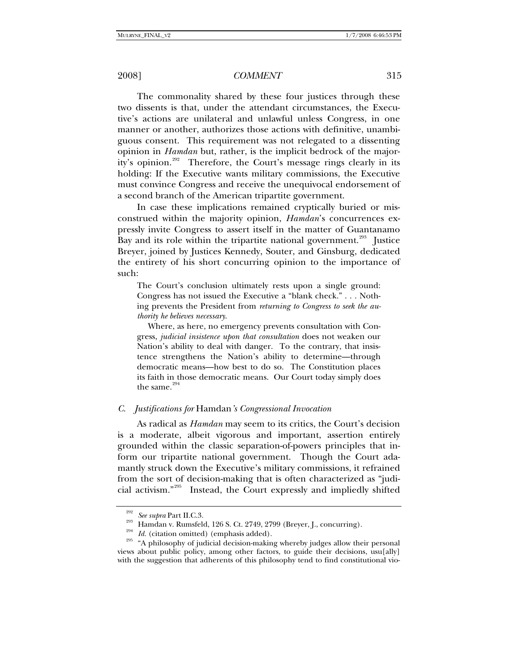The commonality shared by these four justices through these two dissents is that, under the attendant circumstances, the Executive's actions are unilateral and unlawful unless Congress, in one manner or another, authorizes those actions with definitive, unambiguous consent. This requirement was not relegated to a dissenting opinion in *Hamdan* but, rather, is the implicit bedrock of the major-ity's opinion.<sup>[292](#page-36-0)</sup> Therefore, the Court's message rings clearly in its holding: If the Executive wants military commissions, the Executive must convince Congress and receive the unequivocal endorsement of a second branch of the American tripartite government.

In case these implications remained cryptically buried or misconstrued within the majority opinion, *Hamdan*'s concurrences expressly invite Congress to assert itself in the matter of Guantanamo Bay and its role within the tripartite national government.<sup>[293](#page-36-1)</sup> Justice Breyer, joined by Justices Kennedy, Souter, and Ginsburg, dedicated the entirety of his short concurring opinion to the importance of such:

The Court's conclusion ultimately rests upon a single ground: Congress has not issued the Executive a "blank check." . . . Nothing prevents the President from *returning to Congress to seek the authority he believes necessary*.

 Where, as here, no emergency prevents consultation with Congress, *judicial insistence upon that consultation* does not weaken our Nation's ability to deal with danger. To the contrary, that insistence strengthens the Nation's ability to determine—through democratic means—how best to do so. The Constitution places its faith in those democratic means. Our Court today simply does the same. $294$ 

# *C. Justifications for* Hamdan*'s Congressional Invocation*

As radical as *Hamdan* may seem to its critics, the Court's decision is a moderate, albeit vigorous and important, assertion entirely grounded within the classic separation-of-powers principles that inform our tripartite national government. Though the Court adamantly struck down the Executive's military commissions, it refrained from the sort of decision-making that is often characterized as "judicial activism."[295](#page-36-3) Instead, the Court expressly and impliedly shifted

<span id="page-36-3"></span><span id="page-36-2"></span><span id="page-36-1"></span><span id="page-36-0"></span><sup>&</sup>lt;sup>292</sup> See supra Part II.C.3.<br><sup>293</sup> Hamdan v. Rumsfeld, 126 S. Ct. 2749, 2799 (Breyer, J., concurring).<br><sup>294</sup> Id. (citation omitted) (emphasis added).<br><sup>295</sup> A philosophy of judicial decision-making whereby judges allow the views about public policy, among other factors, to guide their decisions, usu[ally] with the suggestion that adherents of this philosophy tend to find constitutional vio-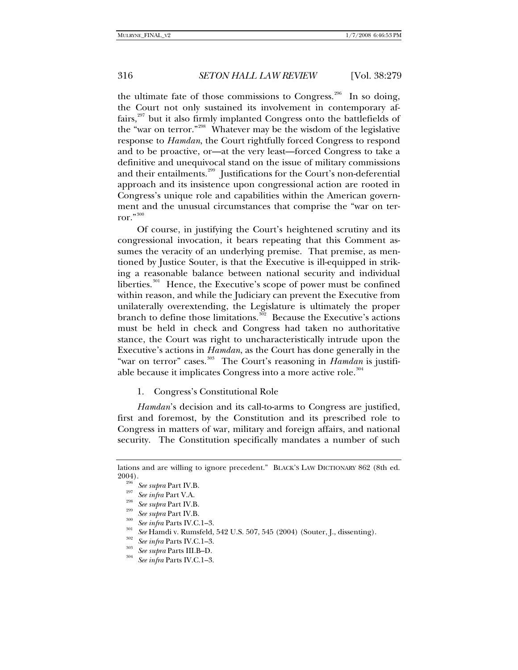the ultimate fate of those commissions to Congress.<sup>[296](#page-37-0)</sup> In so doing, the Court not only sustained its involvement in contemporary affairs, $297$  but it also firmly implanted Congress onto the battlefields of the "war on terror."[298](#page-37-2) Whatever may be the wisdom of the legislative response to *Hamdan*, the Court rightfully forced Congress to respond and to be proactive, or—at the very least—forced Congress to take a definitive and unequivocal stand on the issue of military commissions and their entailments.<sup>[299](#page-37-3)</sup> Justifications for the Court's non-deferential approach and its insistence upon congressional action are rooted in Congress's unique role and capabilities within the American government and the unusual circumstances that comprise the "war on terror." $300$ 

Of course, in justifying the Court's heightened scrutiny and its congressional invocation, it bears repeating that this Comment assumes the veracity of an underlying premise. That premise, as mentioned by Justice Souter, is that the Executive is ill-equipped in striking a reasonable balance between national security and individual liberties.<sup>[301](#page-37-5)</sup> Hence, the Executive's scope of power must be confined within reason, and while the Judiciary can prevent the Executive from unilaterally overextending, the Legislature is ultimately the proper branch to define those limitations.<sup>[302](#page-37-6)</sup> Because the Executive's actions must be held in check and Congress had taken no authoritative stance, the Court was right to uncharacteristically intrude upon the Executive's actions in *Hamdan*, as the Court has done generally in the "war on terror" cases.<sup>[303](#page-37-7)</sup> The Court's reasoning in *Hamdan* is justifi-able because it implicates Congress into a more active role.<sup>[304](#page-37-8)</sup>

1. Congress's Constitutional Role

*Hamdan*'s decision and its call-to-arms to Congress are justified, first and foremost, by the Constitution and its prescribed role to Congress in matters of war, military and foreign affairs, and national security. The Constitution specifically mandates a number of such

<span id="page-37-2"></span><span id="page-37-1"></span><span id="page-37-0"></span>lations and are willing to ignore precedent." BLACK'S LAW DICTIONARY 862 (8th ed. 2004).<br>
<sup>296</sup> See supra Part IV.B.<br>
<sup>295</sup> See supra Part V.A.<br>
<sup>298</sup> See supra Part IV.B.<br>
<sup>303</sup> See supra Part IV.B.<br>
<sup>303</sup> See infra Parts IV.C.1–3.<br>
<sup>302</sup> See Hamdi v. Rumsfeld, 542 U.S. 507, 545 (2004) (Souter, J., di

<span id="page-37-3"></span>

<span id="page-37-4"></span>

<span id="page-37-6"></span><span id="page-37-5"></span>

<span id="page-37-7"></span>

<span id="page-37-8"></span>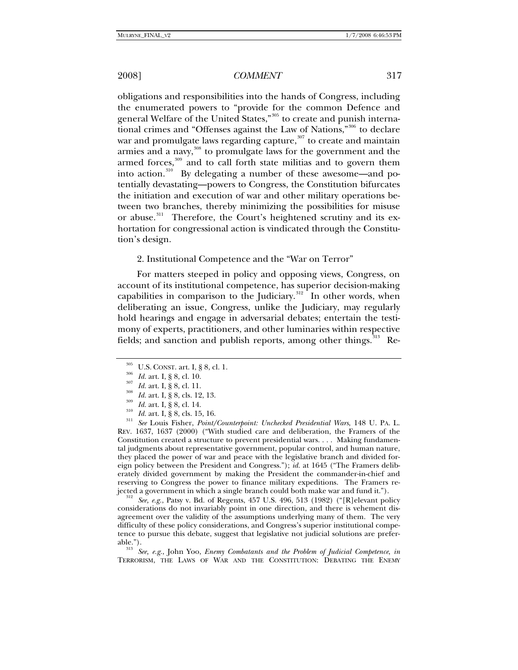obligations and responsibilities into the hands of Congress, including the enumerated powers to "provide for the common Defence and general Welfare of the United States,"[305](#page-38-0) to create and punish interna-tional crimes and "Offenses against the Law of Nations,"<sup>[306](#page-38-1)</sup> to declare war and promulgate laws regarding capture, $307$  to create and maintain armies and a navy,<sup>[308](#page-38-3)</sup> to promulgate laws for the government and the armed forces, $309$  and to call forth state militias and to govern them into action. $310$  By delegating a number of these awesome—and potentially devastating—powers to Congress, the Constitution bifurcates the initiation and execution of war and other military operations between two branches, thereby minimizing the possibilities for misuse or abuse.<sup>[311](#page-38-6)</sup> Therefore, the Court's heightened scrutiny and its exhortation for congressional action is vindicated through the Constitution's design.

#### 2. Institutional Competence and the "War on Terror"

For matters steeped in policy and opposing views, Congress, on account of its institutional competence, has superior decision-making capabilities in comparison to the Judiciary. $312$  In other words, when deliberating an issue, Congress, unlike the Judiciary, may regularly hold hearings and engage in adversarial debates; entertain the testimony of experts, practitioners, and other luminaries within respective fields; and sanction and publish reports, among other things.<sup>[313](#page-38-8)</sup> Re-

<span id="page-38-4"></span><span id="page-38-3"></span><span id="page-38-2"></span><span id="page-38-1"></span><span id="page-38-0"></span><sup>305</sup> U.S. CONST. art. I, § 8, cl. 1.<br>
<sup>305</sup> U.S. CONST. art. I, § 8, cl. 10.<br>
<sup>307</sup> Id. art. I, § 8, cl. 11.<br>
<sup>308</sup> Id. art. I, § 8, cls. 12, 13.<br>
<sup>309</sup> Id. art. I, § 8, cls. 12, 13.<br>
<sup>309</sup> Id. art. I, § 8, cls. 15, 16.<br> REV. 1637, 1637 (2000) ("With studied care and deliberation, the Framers of the Constitution created a structure to prevent presidential wars. . . . Making fundamental judgments about representative government, popular control, and human nature, they placed the power of war and peace with the legislative branch and divided foreign policy between the President and Congress."); *id.* at 1645 ("The Framers deliberately divided government by making the President the commander-in-chief and reserving to Congress the power to finance military expeditions. The Framers re-

<span id="page-38-7"></span>jected a government in which a single branch could both make war and fund it."). 312 *See, e.g.*, Patsy v. Bd. of Regents, 457 U.S. 496, 513 (1982) ("[R]elevant policy considerations do not invariably point in one direction, and there is vehement disagreement over the validity of the assumptions underlying many of them. The very difficulty of these policy considerations, and Congress's superior institutional competence to pursue this debate, suggest that legislative not judicial solutions are prefer-

<span id="page-38-8"></span>able."). 313 *See, e.g.*, John Yoo, *Enemy Combatants and the Problem of Judicial Competence*, *in*  TERRORISM, THE LAWS OF WAR AND THE CONSTITUTION: DEBATING THE ENEMY

<span id="page-38-6"></span><span id="page-38-5"></span>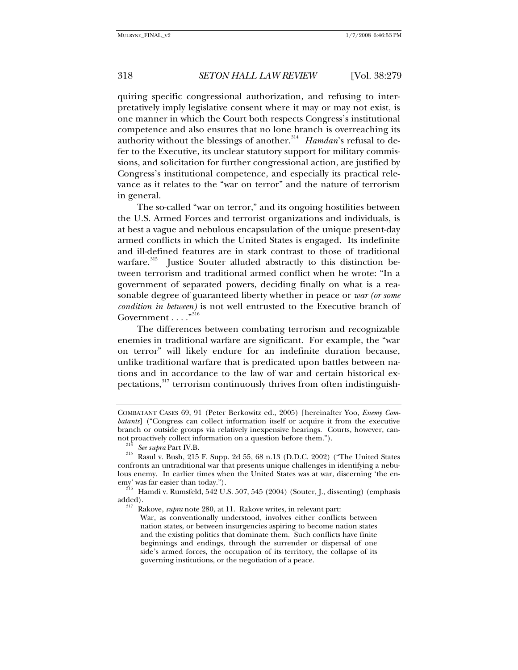quiring specific congressional authorization, and refusing to interpretatively imply legislative consent where it may or may not exist, is one manner in which the Court both respects Congress's institutional competence and also ensures that no lone branch is overreaching its authority without the blessings of another.<sup>[314](#page-39-0)</sup> Hamdan's refusal to defer to the Executive, its unclear statutory support for military commissions, and solicitation for further congressional action, are justified by Congress's institutional competence, and especially its practical relevance as it relates to the "war on terror" and the nature of terrorism in general.

The so-called "war on terror," and its ongoing hostilities between the U.S. Armed Forces and terrorist organizations and individuals, is at best a vague and nebulous encapsulation of the unique present-day armed conflicts in which the United States is engaged. Its indefinite and ill-defined features are in stark contrast to those of traditional warfare.<sup>[315](#page-39-1)</sup> Justice Souter alluded abstractly to this distinction between terrorism and traditional armed conflict when he wrote: "In a government of separated powers, deciding finally on what is a reasonable degree of guaranteed liberty whether in peace or *war (or some condition in between)* is not well entrusted to the Executive branch of Government . . . . "<sup>[316](#page-39-2)</sup>

The differences between combating terrorism and recognizable enemies in traditional warfare are significant. For example, the "war on terror" will likely endure for an indefinite duration because, unlike traditional warfare that is predicated upon battles between nations and in accordance to the law of war and certain historical ex-pectations,<sup>[317](#page-39-3)</sup> terrorism continuously thrives from often indistinguish-

COMBATANT CASES 69, 91 (Peter Berkowitz ed., 2005) [hereinafter Yoo, *Enemy Combatants*] ("Congress can collect information itself or acquire it from the executive branch or outside groups via relatively inexpensive hearings. Courts, however, can-

<span id="page-39-1"></span><span id="page-39-0"></span>not proactively collect information on a question before them.").<br><sup>314</sup> See supra Part IV.B.<br><sup>315</sup> Rasul v. Bush, 215 F. Supp. 2d 55, 68 n.13 (D.D.C. 2002) ("The United States confronts an untraditional war that presents unique challenges in identifying a nebulous enemy. In earlier times when the United States was at war, discerning 'the enemy' was far easier than today.").

<span id="page-39-3"></span><span id="page-39-2"></span> $\frac{10}{316}$  Hamdi v. Rumsfeld, 542 U.S. 507, 545 (2004) (Souter, J., dissenting) (emphasis added). 317 Rakove, *supra* note 280, at 11. Rakove writes, in relevant part:

War, as conventionally understood, involves either conflicts between

nation states, or between insurgencies aspiring to become nation states and the existing politics that dominate them. Such conflicts have finite beginnings and endings, through the surrender or dispersal of one side's armed forces, the occupation of its territory, the collapse of its governing institutions, or the negotiation of a peace.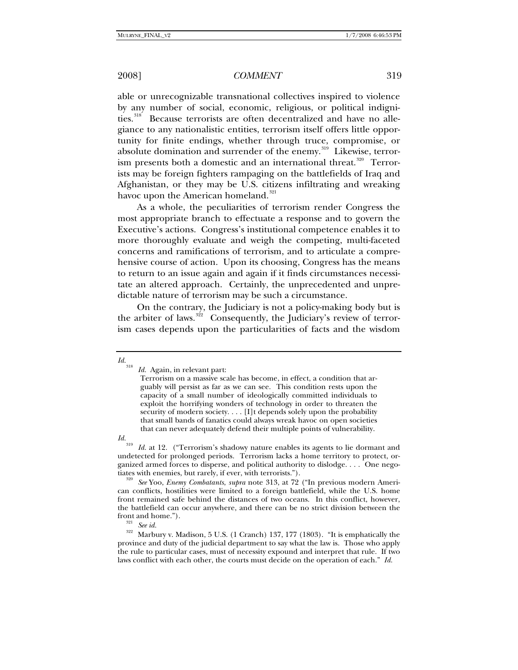able or unrecognizable transnational collectives inspired to violence by any number of social, economic, religious, or political indigni-ties.<sup>[318](#page-40-0)</sup> Because terrorists are often decentralized and have no allegiance to any nationalistic entities, terrorism itself offers little opportunity for finite endings, whether through truce, compromise, or absolute domination and surrender of the enemy.<sup>[319](#page-40-1)</sup> Likewise, terror-ism presents both a domestic and an international threat.<sup>[320](#page-40-2)</sup> Terrorists may be foreign fighters rampaging on the battlefields of Iraq and Afghanistan, or they may be U.S. citizens infiltrating and wreaking havoc upon the American homeland.<sup>[321](#page-40-3)</sup>

As a whole, the peculiarities of terrorism render Congress the most appropriate branch to effectuate a response and to govern the Executive's actions. Congress's institutional competence enables it to more thoroughly evaluate and weigh the competing, multi-faceted concerns and ramifications of terrorism, and to articulate a comprehensive course of action. Upon its choosing, Congress has the means to return to an issue again and again if it finds circumstances necessitate an altered approach. Certainly, the unprecedented and unpredictable nature of terrorism may be such a circumstance.

On the contrary, the Judiciary is not a policy-making body but is the arbiter of laws.<sup>[322](#page-40-4)</sup> Consequently, the Judiciary's review of terrorism cases depends upon the particularities of facts and the wisdom

<span id="page-40-0"></span>*Id.*<sup>318</sup> *Id.* Again, in relevant part:

Terrorism on a massive scale has become, in effect, a condition that arguably will persist as far as we can see. This condition rests upon the capacity of a small number of ideologically committed individuals to exploit the horrifying wonders of technology in order to threaten the security of modern society. . . . [I]t depends solely upon the probability that small bands of fanatics could always wreak havoc on open societies that can never adequately defend their multiple points of vulnerability.

<span id="page-40-1"></span>*Id.* <sup>319</sup> *Id.* at 12. ("Terrorism's shadowy nature enables its agents to lie dormant and undetected for prolonged periods. Terrorism lacks a home territory to protect, organized armed forces to disperse, and political authority to dislodge. . . . One nego-<br>tiates with enemies, but rarely, if ever, with terrorists.").

<span id="page-40-2"></span>tiates with enemies, but rarely, if ever, with terrorists."). 320 *See* Yoo, *Enemy Combatants*, *supra* note 313, at 72 ("In previous modern American conflicts, hostilities were limited to a foreign battlefield, while the U.S. home front remained safe behind the distances of two oceans. In this conflict, however, the battlefield can occur anywhere, and there can be no strict division between the

<span id="page-40-4"></span><span id="page-40-3"></span><sup>&</sup>lt;sup>321</sup> *See id.* 322<sup>32</sup> Marbury v. Madison, 5 U.S. (1 Cranch) 137, 177 (1803). "It is emphatically the province and duty of the judicial department to say what the law is. Those who apply the rule to particular cases, must of necessity expound and interpret that rule. If two laws conflict with each other, the courts must decide on the operation of each." *Id.*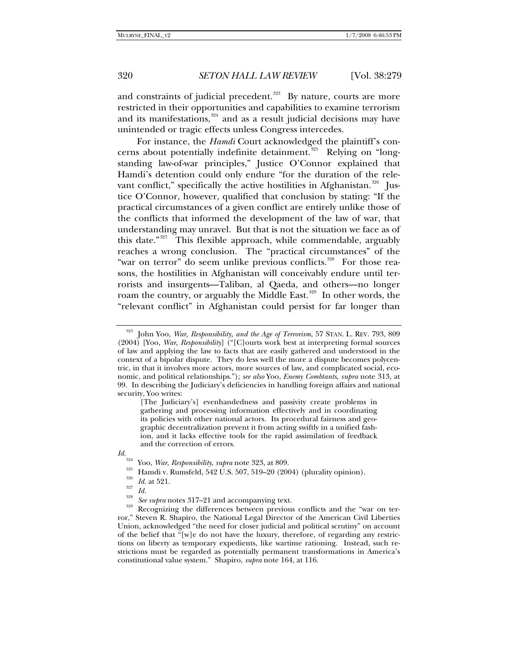and constraints of judicial precedent. $323$  By nature, courts are more restricted in their opportunities and capabilities to examine terrorism and its manifestations, $324$  and as a result judicial decisions may have unintended or tragic effects unless Congress intercedes.

For instance, the *Hamdi* Court acknowledged the plaintiff's con-cerns about potentially indefinite detainment.<sup>[325](#page-41-2)</sup> Relying on "longstanding law-of-war principles," Justice O'Connor explained that Hamdi's detention could only endure "for the duration of the rele-vant conflict," specifically the active hostilities in Afghanistan.<sup>[326](#page-41-3)</sup> Justice O'Connor, however, qualified that conclusion by stating: "If the practical circumstances of a given conflict are entirely unlike those of the conflicts that informed the development of the law of war, that understanding may unravel. But that is not the situation we face as of this date."<sup>[327](#page-41-4)</sup> This flexible approach, while commendable, arguably reaches a wrong conclusion. The "practical circumstances" of the "war on terror" do seem unlike previous conflicts.<sup>[328](#page-41-5)</sup> For those reasons, the hostilities in Afghanistan will conceivably endure until terrorists and insurgents—Taliban, al Qaeda, and others—no longer roam the country, or arguably the Middle East.<sup>[329](#page-41-6)</sup> In other words, the "relevant conflict" in Afghanistan could persist for far longer than

<span id="page-41-5"></span><span id="page-41-4"></span><span id="page-41-3"></span>

<span id="page-41-0"></span><sup>323</sup> John Yoo, *War, Responsibility, and the Age of Terrorism*, 57 STAN. L. REV. 793, 809 (2004) [Yoo, *War, Responsibility*] ("[C]ourts work best at interpreting formal sources of law and applying the law to facts that are easily gathered and understood in the context of a bipolar dispute. They do less well the more a dispute becomes polycentric, in that it involves more actors, more sources of law, and complicated social, economic, and political relationships."); *see also* Yoo, *Enemy Combtants*, *supra* note 313, at 99. In describing the Judiciary's deficiencies in handling foreign affairs and national security, Yoo writes:

<sup>[</sup>The Judiciary's] evenhandedness and passivity create problems in gathering and processing information effectively and in coordinating its policies with other national actors. Its procedural fairness and geographic decentralization prevent it from acting swiftly in a unified fashion, and it lacks effective tools for the rapid assimilation of feedback and the correction of errors.

<span id="page-41-6"></span>

<span id="page-41-2"></span><span id="page-41-1"></span>*Id.*<br><sup>324</sup> Yoo, *War, Responsibility, supra* note 323, at 809.<br><sup>325</sup> Hamdi v. Rumsfeld, 542 U.S. 507, 519–20 (2004) (plurality opinion).<br><sup>326</sup> *Id.* at 521.<br>*Id.*<br><sup>327</sup> *Id.*<br>*See supra* notes 317–21 and accompanying tex ror," Steven R. Shapiro, the National Legal Director of the American Civil Liberties Union, acknowledged "the need for closer judicial and political scrutiny" on account of the belief that "[w]e do not have the luxury, therefore, of regarding any restrictions on liberty as temporary expedients, like wartime rationing. Instead, such restrictions must be regarded as potentially permanent transformations in America's constitutional value system." Shapiro, *supra* note 164, at 116.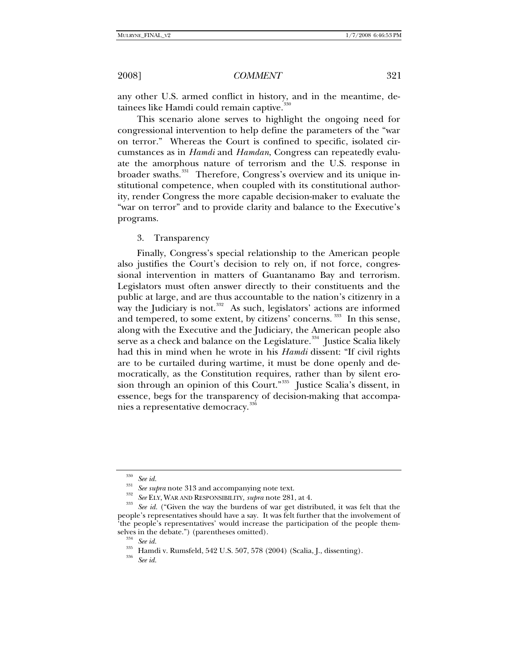any other U.S. armed conflict in history, and in the meantime, de-tainees like Hamdi could remain captive.<sup>[330](#page-42-0)</sup>

This scenario alone serves to highlight the ongoing need for congressional intervention to help define the parameters of the "war on terror." Whereas the Court is confined to specific, isolated circumstances as in *Hamdi* and *Hamdan*, Congress can repeatedly evaluate the amorphous nature of terrorism and the U.S. response in broader swaths.<sup>[331](#page-42-1)</sup> Therefore, Congress's overview and its unique institutional competence, when coupled with its constitutional authority, render Congress the more capable decision-maker to evaluate the "war on terror" and to provide clarity and balance to the Executive's programs.

3. Transparency

Finally, Congress's special relationship to the American people also justifies the Court's decision to rely on, if not force, congressional intervention in matters of Guantanamo Bay and terrorism. Legislators must often answer directly to their constituents and the public at large, and are thus accountable to the nation's citizenry in a way the Judiciary is not.<sup>[332](#page-42-2)</sup> As such, legislators' actions are informed and tempered, to some extent, by citizens' concerns.<sup>[333](#page-42-3)</sup> In this sense, along with the Executive and the Judiciary, the American people also serve as a check and balance on the Legislature.<sup>[334](#page-42-4)</sup> Justice Scalia likely had this in mind when he wrote in his *Hamdi* dissent: "If civil rights are to be curtailed during wartime, it must be done openly and democratically, as the Constitution requires, rather than by silent ero-sion through an opinion of this Court."<sup>[335](#page-42-5)</sup> Justice Scalia's dissent, in essence, begs for the transparency of decision-making that accompa-nies a representative democracy.<sup>[336](#page-42-6)</sup>

<span id="page-42-2"></span><span id="page-42-1"></span><span id="page-42-0"></span><sup>&</sup>lt;sup>330</sup> See id.<br><sup>331</sup> See supra note 313 and accompanying note text.<br><sup>332</sup> See ELY, WAR AND RESPONSIBILITY, *supra* note 281, at 4.<br><sup>333</sup> See id. ("Given the way the burdens of war get distributed, it was felt that the people's representatives should have a say. It was felt further that the involvement of 'the people's representatives' would increase the participation of the people them-

<span id="page-42-6"></span><span id="page-42-5"></span><span id="page-42-4"></span><span id="page-42-3"></span>selves in the debate.") (parentheses omitted).<br><sup>334</sup> See id.<br><sup>335</sup> Hamdi v. Rumsfeld, 542 U.S. 507, 578 (2004) (Scalia, J., dissenting).<br><sup>336</sup> See id.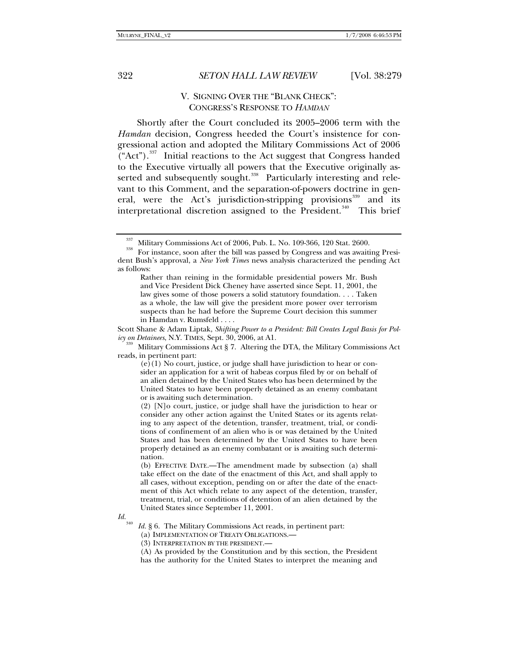# V. SIGNING OVER THE "BLANK CHECK": CONGRESS'S RESPONSE TO *HAMDAN*

Shortly after the Court concluded its 2005–2006 term with the *Hamdan* decision, Congress heeded the Court's insistence for congressional action and adopted the Military Commissions Act of 2006 ("Act").<sup>[337](#page-43-0)</sup> Initial reactions to the Act suggest that Congress handed to the Executive virtually all powers that the Executive originally as-serted and subsequently sought.<sup>[338](#page-43-1)</sup> Particularly interesting and relevant to this Comment, and the separation-of-powers doctrine in gen-eral, were the Act's jurisdiction-stripping provisions<sup>[339](#page-43-2)</sup> and its interpretational discretion assigned to the President.<sup>[340](#page-43-3)</sup> This brief

Scott Shane & Adam Liptak, *Shifting Power to a President: Bill Creates Legal Basis for Policy on Detainees*, N.Y. TIMES, Sept. 30, 2006, at A1.

(2) [N]o court, justice, or judge shall have the jurisdiction to hear or consider any other action against the United States or its agents relating to any aspect of the detention, transfer, treatment, trial, or conditions of confinement of an alien who is or was detained by the United States and has been determined by the United States to have been properly detained as an enemy combatant or is awaiting such determination.

(b) EFFECTIVE DATE.—The amendment made by subsection (a) shall take effect on the date of the enactment of this Act, and shall apply to all cases, without exception, pending on or after the date of the enactment of this Act which relate to any aspect of the detention, transfer, treatment, trial, or conditions of detention of an alien detained by the United States since September 11, 2001.

<span id="page-43-3"></span>*Id.*<sup>340</sup> *Id.* § 6. The Military Commissions Act reads, in pertinent part:

(a) IMPLEMENTATION OF TREATY OBLIGATIONS.—

(3) INTERPRETATION BY THE PRESIDENT.—

(A) As provided by the Constitution and by this section, the President has the authority for the United States to interpret the meaning and

 $\frac{337}{338}$  Military Commissions Act of 2006, Pub. L. No. 109-366, 120 Stat. 2600.<br><sup>338</sup> For instance, soon after the bill was passed by Congress and was awaiting Presi-

<span id="page-43-1"></span><span id="page-43-0"></span>dent Bush's approval, a *New York Times* news analysis characterized the pending Act as follows:

Rather than reining in the formidable presidential powers Mr. Bush and Vice President Dick Cheney have asserted since Sept. 11, 2001, the law gives some of those powers a solid statutory foundation. . . . Taken as a whole, the law will give the president more power over terrorism suspects than he had before the Supreme Court decision this summer in Hamdan v. Rumsfeld . . . .

<span id="page-43-2"></span>*Military Commissions Act* § 7. Altering the DTA, the Military Commissions Act reads, in pertinent part:

 $(e)(1)$  No court, justice, or judge shall have jurisdiction to hear or consider an application for a writ of habeas corpus filed by or on behalf of an alien detained by the United States who has been determined by the United States to have been properly detained as an enemy combatant or is awaiting such determination.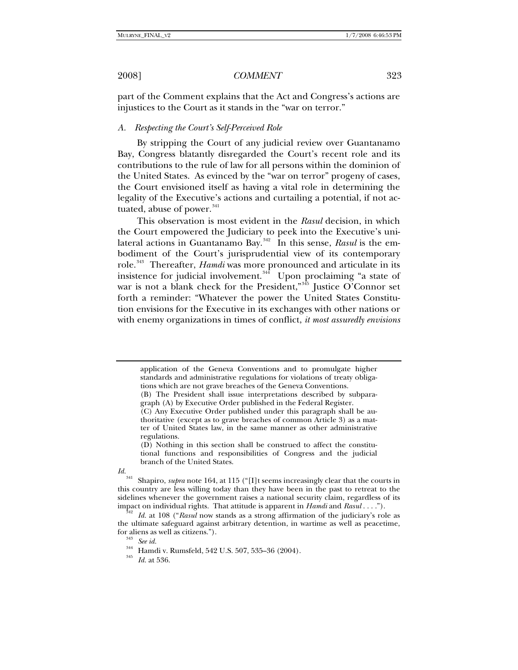part of the Comment explains that the Act and Congress's actions are injustices to the Court as it stands in the "war on terror."

#### *A. Respecting the Court's Self-Perceived Role*

By stripping the Court of any judicial review over Guantanamo Bay, Congress blatantly disregarded the Court's recent role and its contributions to the rule of law for all persons within the dominion of the United States. As evinced by the "war on terror" progeny of cases, the Court envisioned itself as having a vital role in determining the legality of the Executive's actions and curtailing a potential, if not ac-tuated, abuse of power.<sup>[341](#page-44-0)</sup>

This observation is most evident in the *Rasul* decision, in which the Court empowered the Judiciary to peek into the Executive's unilateral actions in Guantanamo Bay.[342](#page-44-1) In this sense, *Rasul* is the embodiment of the Court's jurisprudential view of its contemporary role.<sup>[343](#page-44-2)</sup> Thereafter, *Hamdi* was more pronounced and articulate in its insistence for judicial involvement.<sup>[344](#page-44-3)</sup> Upon proclaiming "a state of war is not a blank check for the President,"<sup>[345](#page-44-4)</sup> Justice O'Connor set forth a reminder: "Whatever the power the United States Constitution envisions for the Executive in its exchanges with other nations or with enemy organizations in times of conflict, *it most assuredly envisions* 

application of the Geneva Conventions and to promulgate higher standards and administrative regulations for violations of treaty obligations which are not grave breaches of the Geneva Conventions. (B) The President shall issue interpretations described by subparagraph (A) by Executive Order published in the Federal Register. (C) Any Executive Order published under this paragraph shall be authoritative (except as to grave breaches of common Article 3) as a mat-

ter of United States law, in the same manner as other administrative regulations.

<sup>(</sup>D) Nothing in this section shall be construed to affect the constitutional functions and responsibilities of Congress and the judicial branch of the United States.

<span id="page-44-0"></span>*Id.*341 Shapiro, *supra* note 164, at 115 ("[I]t seems increasingly clear that the courts in this country are less willing today than they have been in the past to retreat to the sidelines whenever the government raises a national security claim, regardless of its impact on individual rights. That attitude is apparent in *Hamdi* and *Rasul* . . . ."). 342 *Id.* at 108 ("*Rasul* now stands as a strong affirmation of the judiciary's role as

<span id="page-44-4"></span><span id="page-44-3"></span><span id="page-44-2"></span><span id="page-44-1"></span>the ultimate safeguard against arbitrary detention, in wartime as well as peacetime, for aliens as well as citizens."). 343 *See id.* 344 Hamdi v. Rumsfeld, 542 U.S. 507, 535–36 (2004). 345 *Id.* at 536.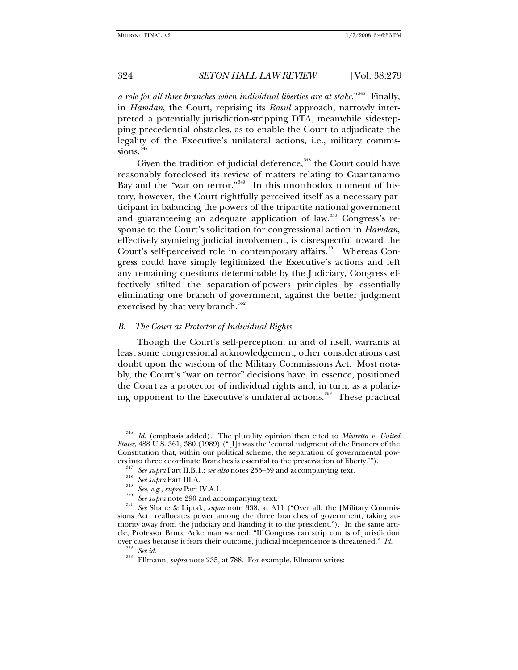*a role for all three branches when individual liberties are at stake*."[346](#page-45-0) Finally, in *Hamdan*, the Court, reprising its *Rasul* approach, narrowly interpreted a potentially jurisdiction-stripping DTA, meanwhile sidestepping precedential obstacles, as to enable the Court to adjudicate the legality of the Executive's unilateral actions, i.e., military commis-sions.<sup>[347](#page-45-1)</sup>

Given the tradition of judicial deference, $348$  the Court could have reasonably foreclosed its review of matters relating to Guantanamo Bay and the "war on terror."<sup>[349](#page-45-3)</sup> In this unorthodox moment of history, however, the Court rightfully perceived itself as a necessary participant in balancing the powers of the tripartite national government and guaranteeing an adequate application of law.<sup>[350](#page-45-4)</sup> Congress's response to the Court's solicitation for congressional action in *Hamdan*, effectively stymieing judicial involvement, is disrespectful toward the Court's self-perceived role in contemporary affairs.<sup>[351](#page-45-5)</sup> Whereas Congress could have simply legitimized the Executive's actions and left any remaining questions determinable by the Judiciary, Congress effectively stilted the separation-of-powers principles by essentially eliminating one branch of government, against the better judgment exercised by that very branch.<sup>[352](#page-45-6)</sup>

### *B. The Court as Protector of Individual Rights*

Though the Court's self-perception, in and of itself, warrants at least some congressional acknowledgement, other considerations cast doubt upon the wisdom of the Military Commissions Act. Most notably, the Court's "war on terror" decisions have, in essence, positioned the Court as a protector of individual rights and, in turn, as a polariz-ing opponent to the Executive's unilateral actions.<sup>[353](#page-45-7)</sup> These practical

<span id="page-45-0"></span><sup>346</sup> *Id.* (emphasis added). The plurality opinion then cited to *Mistretta v. United States*, 488 U.S. 361, 380 (1989) ("[I]t was the 'central judgment of the Framers of the Constitution that, within our political scheme, the separation of governmental pow-

<span id="page-45-5"></span><span id="page-45-4"></span><span id="page-45-3"></span><span id="page-45-2"></span><span id="page-45-1"></span>ers into three coordinate Branches is essential to the preservation of liberty.").<br>
<sup>347</sup> See supra Part II.B.1.; see also notes 255–59 and accompanying text.<br>
<sup>348</sup> See supra Part III.A.<br>
<sup>349</sup> See supra Part IV.A.1.<br> *S* sions Act] reallocates power among the three branches of government, taking authority away from the judiciary and handing it to the president."). In the same article, Professor Bruce Ackerman warned: "If Congress can strip courts of jurisdiction over cases because it fears their outcome, judicial independence is threatened." *Id.* <sup>352</sup> See id.<br><sup>353</sup> Ellmann, *supra* note 235, at 788. For example, Ellmann writes:

<span id="page-45-7"></span><span id="page-45-6"></span>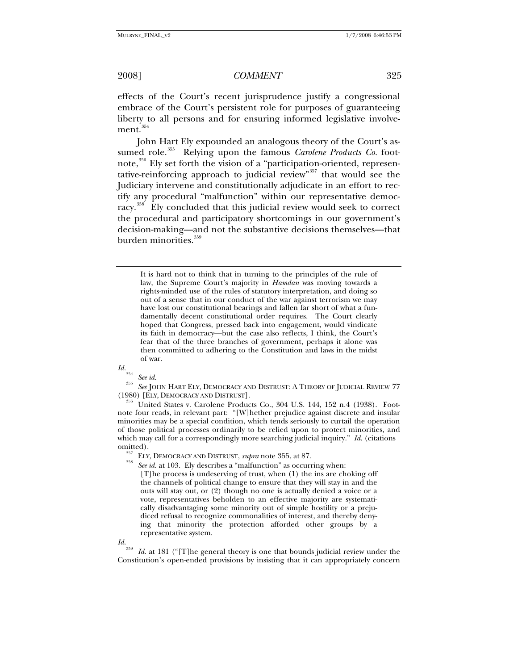effects of the Court's recent jurisprudence justify a congressional embrace of the Court's persistent role for purposes of guaranteeing liberty to all persons and for ensuring informed legislative involve-ment.<sup>[354](#page-46-0)</sup>

John Hart Ely expounded an analogous theory of the Court's as-sumed role.<sup>[355](#page-46-1)</sup> Relying upon the famous *Carolene Products Co.* footnote, $356$  Ely set forth the vision of a "participation-oriented, representative-reinforcing approach to judicial review"[357](#page-46-3) that would see the Judiciary intervene and constitutionally adjudicate in an effort to rectify any procedural "malfunction" within our representative democ-racy.<sup>[358](#page-46-4)</sup> Ely concluded that this judicial review would seek to correct the procedural and participatory shortcomings in our government's decision-making—and not the substantive decisions themselves—that burden minorities.<sup>[359](#page-46-5)</sup>

It is hard not to think that in turning to the principles of the rule of law, the Supreme Court's majority in *Hamdan* was moving towards a rights-minded use of the rules of statutory interpretation, and doing so out of a sense that in our conduct of the war against terrorism we may have lost our constitutional bearings and fallen far short of what a fundamentally decent constitutional order requires. The Court clearly hoped that Congress, pressed back into engagement, would vindicate its faith in democracy—but the case also reflects, I think, the Court's fear that of the three branches of government, perhaps it alone was then committed to adhering to the Constitution and laws in the midst of war.

<span id="page-46-1"></span><span id="page-46-0"></span>*Id.*<sup>354</sup> *See id.* <sup>355</sup> *See* JOHN HART ELY, DEMOCRACY AND DISTRUST: <sup>A</sup> THEORY OF JUDICIAL REVIEW 77 (1980) [ELY, DEMOCRACY AND DISTRUST]. 356 United States v. Carolene Products Co., 304 U.S. 144, 152 n.4 (1938). Foot-

<span id="page-46-2"></span>note four reads, in relevant part: "[W]hether prejudice against discrete and insular minorities may be a special condition, which tends seriously to curtail the operation of those political processes ordinarily to be relied upon to protect minorities, and which may call for a correspondingly more searching judicial inquiry." *Id.* (citations

<span id="page-46-4"></span><span id="page-46-3"></span><sup>357</sup> ELY, DEMOCRACY AND DISTRUST, *supra* note 355, at 87.<br><sup>358</sup> See id. at 103. Ely describes a "malfunction" as occurring when:

[T]he process is undeserving of trust, when (1) the ins are choking off the channels of political change to ensure that they will stay in and the outs will stay out, or (2) though no one is actually denied a voice or a vote, representatives beholden to an effective majority are systematically disadvantaging some minority out of simple hostility or a prejudiced refusal to recognize commonalities of interest, and thereby denying that minority the protection afforded other groups by a representative system.

<span id="page-46-5"></span>*Id.*<sup>359</sup> *Id.* at 181 ("[T]he general theory is one that bounds judicial review under the Constitution's open-ended provisions by insisting that it can appropriately concern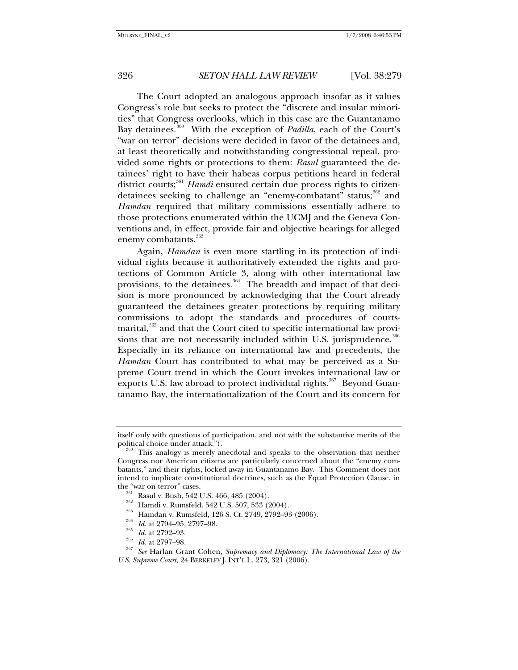The Court adopted an analogous approach insofar as it values Congress's role but seeks to protect the "discrete and insular minorities" that Congress overlooks, which in this case are the Guantanamo Bay detainees.<sup>[360](#page-47-0)</sup> With the exception of *Padilla*, each of the Court's "war on terror" decisions were decided in favor of the detainees and, at least theoretically and notwithstanding congressional repeal, provided some rights or protections to them: *Rasul* guaranteed the detainees' right to have their habeas corpus petitions heard in federal district courts;<sup>[361](#page-47-1)</sup> *Hamdi* ensured certain due process rights to citizen-detainees seeking to challenge an "enemy-combatant" status;<sup>[362](#page-47-2)</sup> and *Hamdan* required that military commissions essentially adhere to those protections enumerated within the UCMJ and the Geneva Conventions and, in effect, provide fair and objective hearings for alleged enemy combatants.<sup>[363](#page-47-3)</sup>

Again, *Hamdan* is even more startling in its protection of individual rights because it authoritatively extended the rights and protections of Common Article 3, along with other international law provisions, to the detainees.<sup>[364](#page-47-4)</sup> The breadth and impact of that decision is more pronounced by acknowledging that the Court already guaranteed the detainees greater protections by requiring military commissions to adopt the standards and procedures of courts-marital,<sup>[365](#page-47-5)</sup> and that the Court cited to specific international law provi-sions that are not necessarily included within U.S. jurisprudence.<sup>[366](#page-47-6)</sup> Especially in its reliance on international law and precedents, the *Hamdan* Court has contributed to what may be perceived as a Supreme Court trend in which the Court invokes international law or exports U.S. law abroad to protect individual rights.<sup>[367](#page-47-7)</sup> Beyond Guantanamo Bay, the internationalization of the Court and its concern for

itself only with questions of participation, and not with the substantive merits of the

<span id="page-47-0"></span>This analogy is merely anecdotal and speaks to the observation that neither Congress nor American citizens are particularly concerned about the "enemy combatants," and their rights, locked away in Guantanamo Bay. This Comment does not intend to implicate constitutional doctrines, such as the Equal Protection Clause, in

<span id="page-47-6"></span><span id="page-47-5"></span>

<span id="page-47-7"></span>

<span id="page-47-4"></span><span id="page-47-3"></span><span id="page-47-2"></span><span id="page-47-1"></span>the "war on terror" cases.<br>
<sup>361</sup> Rasul v. Bush, 542 U.S. 466, 485 (2004).<br>
<sup>362</sup> Hamdi v. Rumsfeld, 542 U.S. 507, 533 (2004).<br>
<sup>363</sup> Hamdan v. Rumsfeld, 126 S. Ct. 2749, 2792–93 (2006).<br>
<sup>364</sup> Id. at 2794–95, 2797–98.<br>
<sup>3</sup> *U.S. Supreme Court*, 24 BERKELEY J. INT'L L. 273, 321 (2006).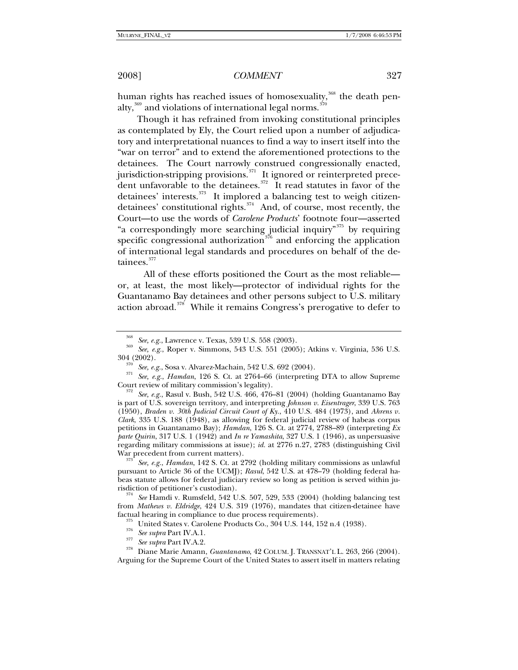human rights has reached issues of homosexuality,<sup>[368](#page-48-0)</sup> the death penalty, $359$  and violations of international legal norms.  $370$ 

Though it has refrained from invoking constitutional principles as contemplated by Ely, the Court relied upon a number of adjudicatory and interpretational nuances to find a way to insert itself into the "war on terror" and to extend the aforementioned protections to the detainees. The Court narrowly construed congressionally enacted, jurisdiction-stripping provisions.<sup>[371](#page-48-3)</sup> It ignored or reinterpreted precedent unfavorable to the detainees.<sup> $372$ </sup> It read statutes in favor of the detainees' interests.<sup>[373](#page-48-5)</sup> It implored a balancing test to weigh citizendetainees' constitutional rights. $374$  And, of course, most recently, the Court—to use the words of *Carolene Products*' footnote four—asserted "a correspondingly more searching judicial inquiry"<sup>[375](#page-48-7)</sup> by requiring specific congressional authorization<sup> $376$ </sup> and enforcing the application of international legal standards and procedures on behalf of the de-tainees.<sup>[377](#page-48-9)</sup>

 All of these efforts positioned the Court as the most reliable or, at least, the most likely—protector of individual rights for the Guantanamo Bay detainees and other persons subject to U.S. military action abroad. $378$  While it remains Congress's prerogative to defer to

<span id="page-48-5"></span>pursuant to Article 36 of the UCMJ); *Rasul*, 542 U.S. at 478–79 (holding federal habeas statute allows for federal judiciary review so long as petition is served within jurisdiction of petitioner's custodian). 374 *See* Hamdi v. Rumsfeld, 542 U.S. 507, 529, 533 (2004) (holding balancing test

<span id="page-48-7"></span><span id="page-48-6"></span>from *Mathews v. Eldridge*, 424 U.S. 319 (1976), mandates that citizen-detainee have factual hearing in compliance to due process requirements).<br><sup>375</sup> United States v. Carolene Products Co., 304 U.S. 144, 152 n.4 (1938).<br><sup>376</sup> See supra Part IV.A.1.<br><sup>377</sup> See supra Part IV.A.2.<br>Diane Marie Amann, *Guantana* 

<span id="page-48-1"></span><span id="page-48-0"></span><sup>&</sup>lt;sup>368</sup> See, e.g., Lawrence v. Texas, 539 U.S. 558 (2003).<br><sup>369</sup> See, e.g., Roper v. Simmons, 543 U.S. 551 (2005); Atkins v. Virginia, 536 U.S.<br>304 (2002).

<span id="page-48-3"></span><span id="page-48-2"></span><sup>304 (2002). 370</sup> *See, e.g.*, Sosa v. Alvarez-Machain, 542 U.S. 692 (2004). 371 *See, e.g.*, *Hamdan*, 126 S. Ct. at 2764–66 (interpreting DTA to allow Supreme Court review of military commission's legality). 372 *See, e.g.*, Rasul v. Bush, 542 U.S. 466, 476–81 (2004) (holding Guantanamo Bay

<span id="page-48-4"></span>is part of U.S. sovereign territory, and interpreting *Johnson v. Eisentrager*, 339 U.S. 763 (1950), *Braden v. 30th Judicial Circuit Court of Ky.*, 410 U.S. 484 (1973), and *Ahrens v. Clark*, 335 U.S. 188 (1948), as allowing for federal judicial review of habeas corpus petitions in Guantanamo Bay); *Hamdan*, 126 S. Ct. at 2774, 2788–89 (interpreting *Ex parte Quirin*, 317 U.S. 1 (1942) and *In re Yamashita*, 327 U.S. 1 (1946), as unpersuasive regarding military commissions at issue); *id.* at 2776 n.27, 2783 (distinguishing Civil War precedent from current matters). 373 *See, e.g.*, *Hamdan*, 142 S. Ct. at 2792 (holding military commissions as unlawful

<span id="page-48-10"></span><span id="page-48-9"></span><span id="page-48-8"></span>Arguing for the Supreme Court of the United States to assert itself in matters relating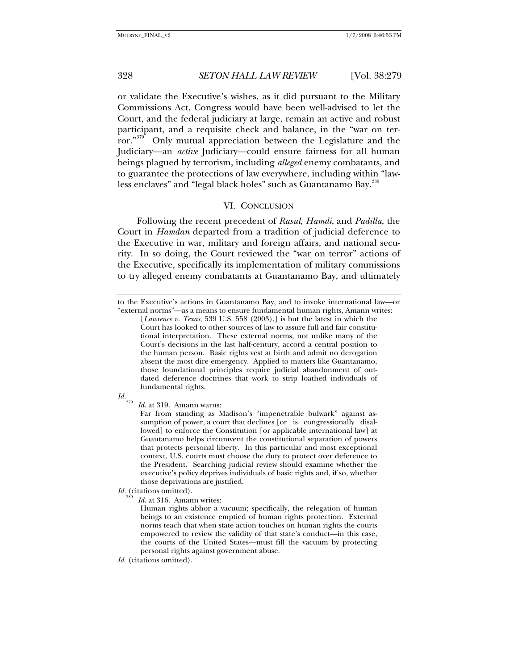or validate the Executive's wishes, as it did pursuant to the Military Commissions Act, Congress would have been well-advised to let the Court, and the federal judiciary at large, remain an active and robust participant, and a requisite check and balance, in the "war on ter-ror."<sup>[379](#page-49-0)</sup> Only mutual appreciation between the Legislature and the Judiciary—an *active* Judiciary—could ensure fairness for all human beings plagued by terrorism, including *alleged* enemy combatants, and to guarantee the protections of law everywhere, including within "law-less enclaves" and "legal black holes" such as Guantanamo Bay.<sup>[380](#page-49-1)</sup>

### VI. CONCLUSION

Following the recent precedent of *Rasul*, *Hamdi*, and *Padilla*, the Court in *Hamdan* departed from a tradition of judicial deference to the Executive in war, military and foreign affairs, and national security. In so doing, the Court reviewed the "war on terror" actions of the Executive, specifically its implementation of military commissions to try alleged enemy combatants at Guantanamo Bay, and ultimately

<sup>[</sup>*Lawrence v. Texas*, 539 U.S. 558 (2003),] is but the latest in which the Court has looked to other sources of law to assure full and fair constitutional interpretation. These external norms, not unlike many of the Court's decisions in the last half-century, accord a central position to the human person. Basic rights vest at birth and admit no derogation absent the most dire emergency. Applied to matters like Guantanamo, those foundational principles require judicial abandonment of outdated deference doctrines that work to strip loathed individuals of fundamental rights.



<span id="page-49-0"></span>*Id.*<sup>379</sup> *Id.* at 319. Amann warns:

Far from standing as Madison's "impenetrable bulwark" against assumption of power, a court that declines [or is congressionally disallowed] to enforce the Constitution [or applicable international law] at Guantanamo helps circumvent the constitutional separation of powers that protects personal liberty. In this particular and most exceptional context, U.S. courts must choose the duty to protect over deference to the President. Searching judicial review should examine whether the executive's policy deprives individuals of basic rights and, if so, whether those deprivations are justified.

<span id="page-49-1"></span>*Id.* (citations omitted).

Id. at 316. Amann writes:

Human rights abhor a vacuum; specifically, the relegation of human beings to an existence emptied of human rights protection. External norms teach that when state action touches on human rights the courts empowered to review the validity of that state's conduct—in this case, the courts of the United States—must fill the vacuum by protecting personal rights against government abuse.

*Id.* (citations omitted).

to the Executive's actions in Guantanamo Bay, and to invoke international law—or "external norms"—as a means to ensure fundamental human rights, Amann writes: